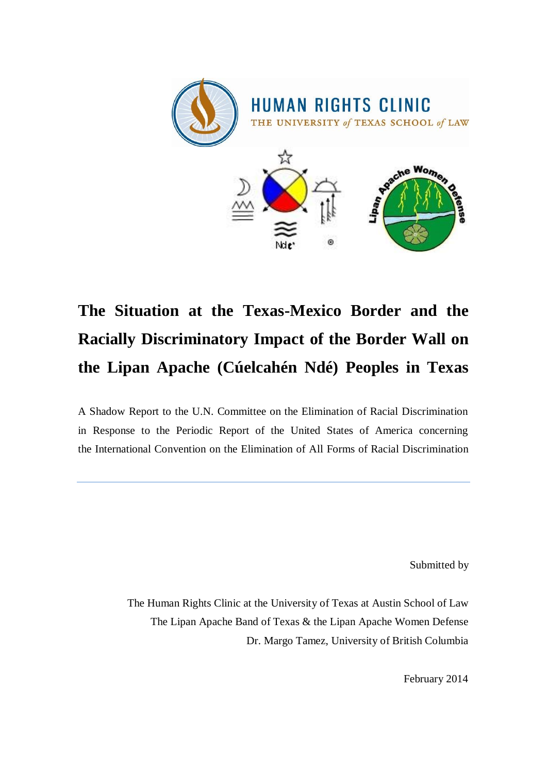

# **The Situation at the Texas-Mexico Border and the Racially Discriminatory Impact of the Border Wall on the Lipan Apache (Cúelcahén Ndé) Peoples in Texas**

A Shadow Report to the U.N. Committee on the Elimination of Racial Discrimination in Response to the Periodic Report of the United States of America concerning the International Convention on the Elimination of All Forms of Racial Discrimination

Submitted by

The Human Rights Clinic at the University of Texas at Austin School of Law The Lipan Apache Band of Texas & the Lipan Apache Women Defense Dr. Margo Tamez, University of British Columbia

February 2014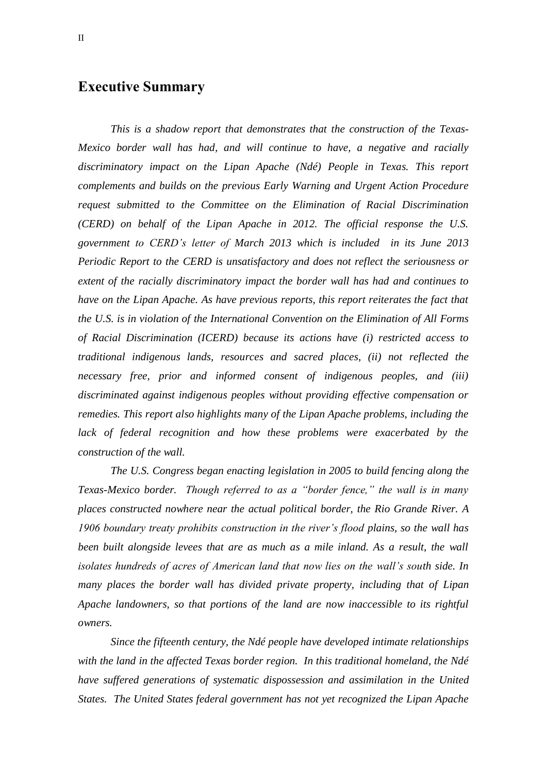### <span id="page-1-0"></span>**Executive Summary**

*This is a shadow report that demonstrates that the construction of the Texas-Mexico border wall has had, and will continue to have, a negative and racially discriminatory impact on the Lipan Apache (Ndé) People in Texas. This report complements and builds on the previous Early Warning and Urgent Action Procedure request submitted to the Committee on the Elimination of Racial Discrimination (CERD) on behalf of the Lipan Apache in 2012. The official response the U.S. government to CERD's letter of March 2013 which is included in its June 2013 Periodic Report to the CERD is unsatisfactory and does not reflect the seriousness or extent of the racially discriminatory impact the border wall has had and continues to have on the Lipan Apache. As have previous reports, this report reiterates the fact that the U.S. is in violation of the International Convention on the Elimination of All Forms of Racial Discrimination (ICERD) because its actions have (i) restricted access to traditional indigenous lands, resources and sacred places, (ii) not reflected the necessary free, prior and informed consent of indigenous peoples, and (iii) discriminated against indigenous peoples without providing effective compensation or remedies. This report also highlights many of the Lipan Apache problems, including the*  lack of federal recognition and how these problems were exacerbated by the *construction of the wall.* 

*The U.S. Congress began enacting legislation in 2005 to build fencing along the Texas-Mexico border. Though referred to as a "border fence," the wall is in many places constructed nowhere near the actual political border, the Rio Grande River. A 1906 boundary treaty prohibits construction in the river's flood plains, so the wall has been built alongside levees that are as much as a mile inland. As a result, the wall isolates hundreds of acres of American land that now lies on the wall's south side. In many places the border wall has divided private property, including that of Lipan Apache landowners, so that portions of the land are now inaccessible to its rightful owners.* 

*Since the fifteenth century, the Ndé people have developed intimate relationships with the land in the affected Texas border region. In this traditional homeland, the Ndé have suffered generations of systematic dispossession and assimilation in the United States. The United States federal government has not yet recognized the Lipan Apache*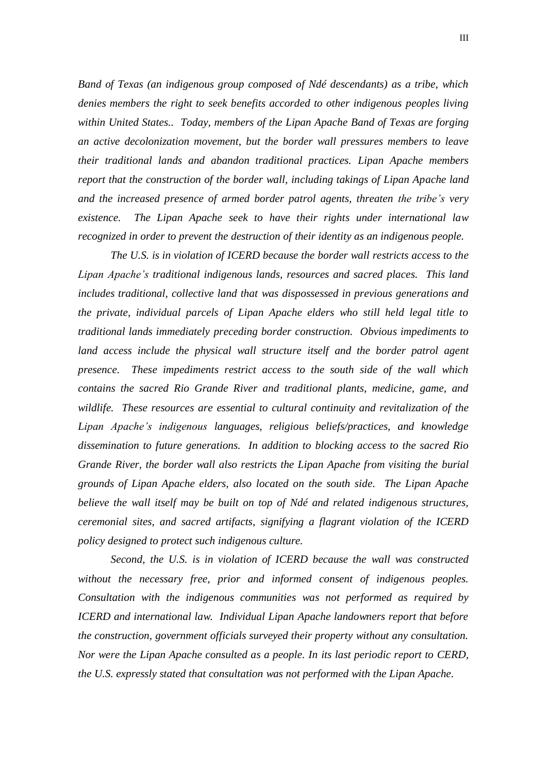*Band of Texas (an indigenous group composed of Ndé descendants) as a tribe, which denies members the right to seek benefits accorded to other indigenous peoples living within United States.. Today, members of the Lipan Apache Band of Texas are forging an active decolonization movement, but the border wall pressures members to leave their traditional lands and abandon traditional practices. Lipan Apache members report that the construction of the border wall, including takings of Lipan Apache land and the increased presence of armed border patrol agents, threaten the tribe's very existence. The Lipan Apache seek to have their rights under international law recognized in order to prevent the destruction of their identity as an indigenous people.*

*The U.S. is in violation of ICERD because the border wall restricts access to the Lipan Apache's traditional indigenous lands, resources and sacred places. This land includes traditional, collective land that was dispossessed in previous generations and the private, individual parcels of Lipan Apache elders who still held legal title to traditional lands immediately preceding border construction. Obvious impediments to land access include the physical wall structure itself and the border patrol agent presence. These impediments restrict access to the south side of the wall which contains the sacred Rio Grande River and traditional plants, medicine, game, and wildlife. These resources are essential to cultural continuity and revitalization of the Lipan Apache's indigenous languages, religious beliefs/practices, and knowledge dissemination to future generations. In addition to blocking access to the sacred Rio Grande River, the border wall also restricts the Lipan Apache from visiting the burial grounds of Lipan Apache elders, also located on the south side. The Lipan Apache believe the wall itself may be built on top of Ndé and related indigenous structures, ceremonial sites, and sacred artifacts, signifying a flagrant violation of the ICERD policy designed to protect such indigenous culture.* 

*Second, the U.S. is in violation of ICERD because the wall was constructed without the necessary free, prior and informed consent of indigenous peoples. Consultation with the indigenous communities was not performed as required by ICERD and international law. Individual Lipan Apache landowners report that before the construction, government officials surveyed their property without any consultation. Nor were the Lipan Apache consulted as a people. In its last periodic report to CERD, the U.S. expressly stated that consultation was not performed with the Lipan Apache.*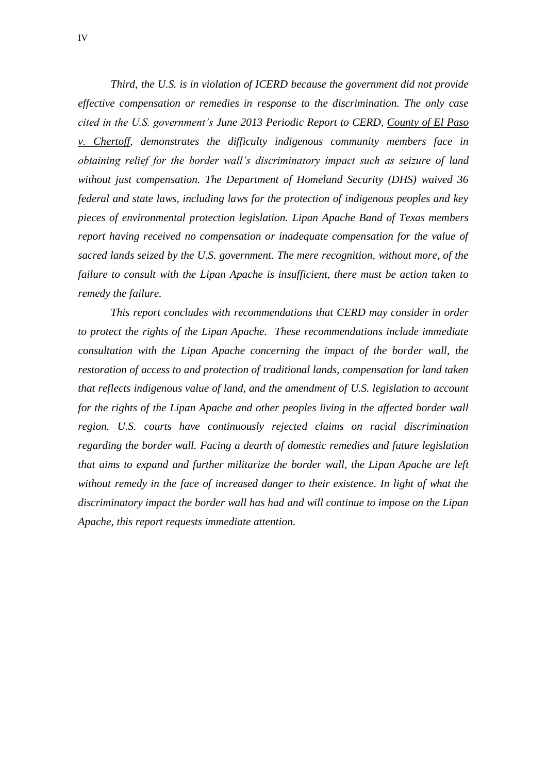*Third, the U.S. is in violation of ICERD because the government did not provide effective compensation or remedies in response to the discrimination. The only case cited in the U.S. government's June 2013 Periodic Report to CERD, County of El Paso v. Chertoff, demonstrates the difficulty indigenous community members face in obtaining relief for the border wall's discriminatory impact such as seizure of land without just compensation. The Department of Homeland Security (DHS) waived 36 federal and state laws, including laws for the protection of indigenous peoples and key pieces of environmental protection legislation. Lipan Apache Band of Texas members report having received no compensation or inadequate compensation for the value of sacred lands seized by the U.S. government. The mere recognition, without more, of the failure to consult with the Lipan Apache is insufficient, there must be action taken to remedy the failure.* 

*This report concludes with recommendations that CERD may consider in order to protect the rights of the Lipan Apache. These recommendations include immediate consultation with the Lipan Apache concerning the impact of the border wall, the restoration of access to and protection of traditional lands, compensation for land taken that reflects indigenous value of land, and the amendment of U.S. legislation to account for the rights of the Lipan Apache and other peoples living in the affected border wall region. U.S. courts have continuously rejected claims on racial discrimination regarding the border wall. Facing a dearth of domestic remedies and future legislation that aims to expand and further militarize the border wall, the Lipan Apache are left without remedy in the face of increased danger to their existence. In light of what the discriminatory impact the border wall has had and will continue to impose on the Lipan Apache, this report requests immediate attention.*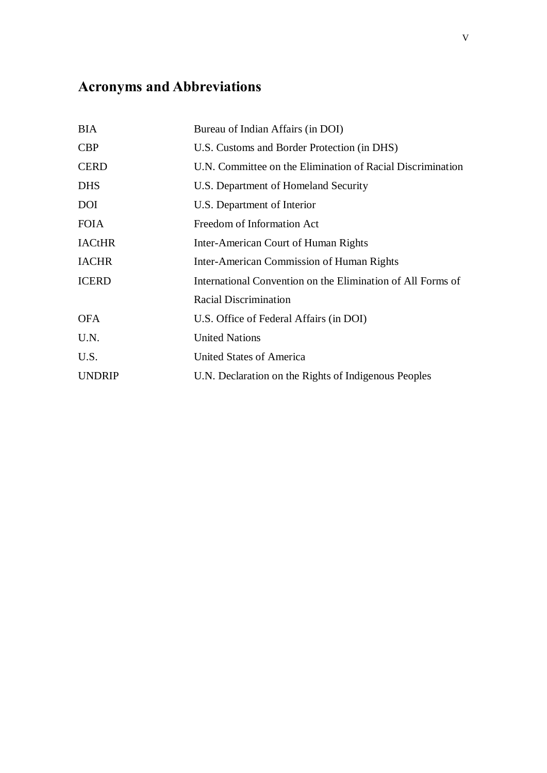# <span id="page-4-0"></span>**Acronyms and Abbreviations**

| <b>BIA</b>    | Bureau of Indian Affairs (in DOI)                           |  |
|---------------|-------------------------------------------------------------|--|
| <b>CBP</b>    | U.S. Customs and Border Protection (in DHS)                 |  |
| <b>CERD</b>   | U.N. Committee on the Elimination of Racial Discrimination  |  |
| <b>DHS</b>    | U.S. Department of Homeland Security                        |  |
| <b>DOI</b>    | U.S. Department of Interior                                 |  |
| <b>FOIA</b>   | Freedom of Information Act                                  |  |
| <b>IACtHR</b> | Inter-American Court of Human Rights                        |  |
| <b>IACHR</b>  | <b>Inter-American Commission of Human Rights</b>            |  |
| <b>ICERD</b>  | International Convention on the Elimination of All Forms of |  |
|               | <b>Racial Discrimination</b>                                |  |
| <b>OFA</b>    | U.S. Office of Federal Affairs (in DOI)                     |  |
| U.N.          | <b>United Nations</b>                                       |  |
| U.S.          | <b>United States of America</b>                             |  |
| <b>UNDRIP</b> | U.N. Declaration on the Rights of Indigenous Peoples        |  |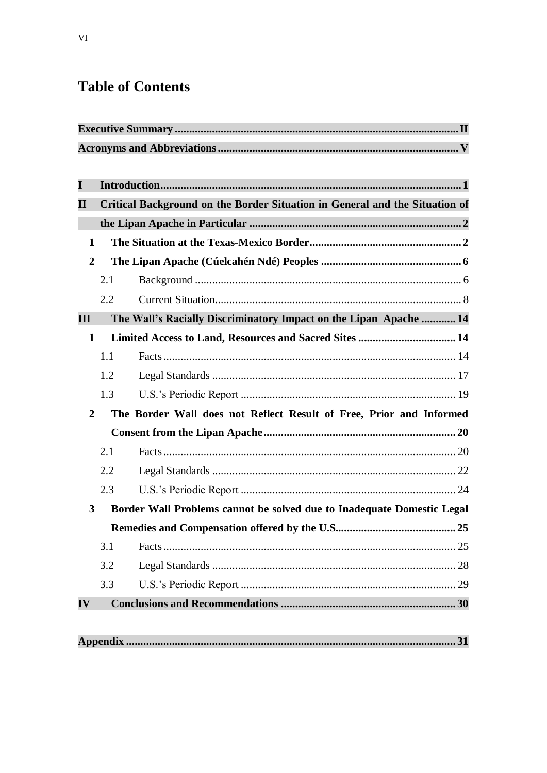# **Table of Contents**

| $\mathbf I$      |                                                                             |                                                                        |  |  |
|------------------|-----------------------------------------------------------------------------|------------------------------------------------------------------------|--|--|
| $\mathbf{I}$     | Critical Background on the Border Situation in General and the Situation of |                                                                        |  |  |
|                  |                                                                             |                                                                        |  |  |
| $\mathbf{1}$     |                                                                             |                                                                        |  |  |
| $\boldsymbol{2}$ |                                                                             |                                                                        |  |  |
|                  | 2.1                                                                         |                                                                        |  |  |
|                  | 2.2                                                                         |                                                                        |  |  |
| $\mathbf{III}$   |                                                                             | The Wall's Racially Discriminatory Impact on the Lipan Apache  14      |  |  |
| $\mathbf{1}$     |                                                                             | Limited Access to Land, Resources and Sacred Sites  14                 |  |  |
|                  | 1.1                                                                         |                                                                        |  |  |
|                  | 1.2                                                                         |                                                                        |  |  |
|                  | 1.3                                                                         |                                                                        |  |  |
| $\overline{2}$   |                                                                             | The Border Wall does not Reflect Result of Free, Prior and Informed    |  |  |
|                  |                                                                             |                                                                        |  |  |
|                  | 2.1                                                                         |                                                                        |  |  |
|                  | 2.2                                                                         |                                                                        |  |  |
|                  | 2.3                                                                         |                                                                        |  |  |
| 3                |                                                                             | Border Wall Problems cannot be solved due to Inadequate Domestic Legal |  |  |
|                  |                                                                             |                                                                        |  |  |
|                  | 3.1                                                                         |                                                                        |  |  |
|                  | 3.2                                                                         |                                                                        |  |  |
|                  | 3.3                                                                         |                                                                        |  |  |
| $\mathbf{IV}$    |                                                                             |                                                                        |  |  |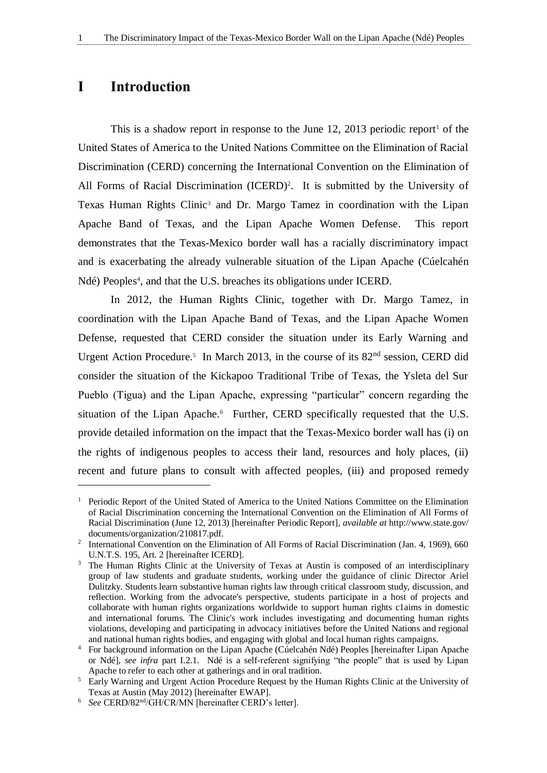### <span id="page-6-0"></span>**I Introduction**

 $\overline{a}$ 

This is a shadow report in response to the June 12, 2013 periodic report<sup>1</sup> of the United States of America to the United Nations Committee on the Elimination of Racial Discrimination (CERD) concerning the International Convention on the Elimination of All Forms of Racial Discrimination (ICERD)<sup>2</sup>. It is submitted by the University of Texas Human Rights Clinic<sup>3</sup> and Dr. Margo Tamez in coordination with the Lipan Apache Band of Texas, and the Lipan Apache Women Defense. This report demonstrates that the Texas-Mexico border wall has a racially discriminatory impact and is exacerbating the already vulnerable situation of the Lipan Apache (Cúelcahén Ndé) Peoples 4 , and that the U.S. breaches its obligations under ICERD.

In 2012, the Human Rights Clinic, together with Dr. Margo Tamez, in coordination with the Lipan Apache Band of Texas, and the Lipan Apache Women Defense, requested that CERD consider the situation under its Early Warning and Urgent Action Procedure.<sup>5</sup> In March 2013, in the course of its 82<sup>nd</sup> session, CERD did consider the situation of the Kickapoo Traditional Tribe of Texas, the Ysleta del Sur Pueblo (Tigua) and the Lipan Apache, expressing "particular" concern regarding the situation of the Lipan Apache.<sup>6</sup> Further, CERD specifically requested that the U.S. provide detailed information on the impact that the Texas-Mexico border wall has (i) on the rights of indigenous peoples to access their land, resources and holy places, (ii) recent and future plans to consult with affected peoples, (iii) and proposed remedy

<sup>&</sup>lt;sup>1</sup> Periodic Report of the United Stated of America to the United Nations Committee on the Elimination of Racial Discrimination concerning the International Convention on the Elimination of All Forms of Racial Discrimination (June 12, 2013) [hereinafter Periodic Report], *available at* http://www.state.gov/ documents/organization/210817.pdf.

<sup>&</sup>lt;sup>2</sup> International Convention on the Elimination of All Forms of Racial Discrimination (Jan. 4, 1969), 660 U.N.T.S. 195, Art. 2 [hereinafter ICERD].

<sup>&</sup>lt;sup>3</sup> The Human Rights Clinic at the University of Texas at Austin is composed of an interdisciplinary group of law students and graduate students, working under the guidance of clinic Director Ariel Dulitzky. Students learn substantive human rights law through critical classroom study, discussion, and reflection. Working from the advocate's perspective, students participate in a host of projects and collaborate with human rights organizations worldwide to support human rights c1aims in domestic and international forums. The Clinic's work includes investigating and documenting human rights violations, developing and participating in advocacy initiatives before the United Nations and regional and national human rights bodies, and engaging with global and local human rights campaigns.

<sup>4</sup> For background information on the Lipan Apache (Cúelcahén Ndé) Peoples [hereinafter Lipan Apache or Ndé], *see infra* part I.2.1. Ndé is a self-referent signifying "the people" that is used by Lipan Apache to refer to each other at gatherings and in oral tradition.

<sup>5</sup> Early Warning and Urgent Action Procedure Request by the Human Rights Clinic at the University of Texas at Austin (May 2012) [hereinafter EWAP].

<sup>6</sup> *See* CERD/82nd/GH/CR/MN [hereinafter CERD's letter].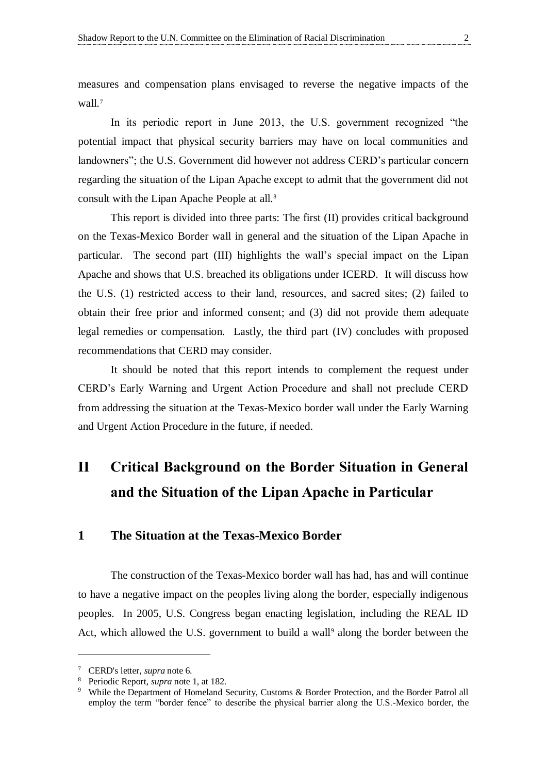measures and compensation plans envisaged to reverse the negative impacts of the wall.<sup>7</sup>

In its periodic report in June 2013, the U.S. government recognized "the potential impact that physical security barriers may have on local communities and landowners"; the U.S. Government did however not address CERD's particular concern regarding the situation of the Lipan Apache except to admit that the government did not consult with the Lipan Apache People at all.<sup>8</sup>

This report is divided into three parts: The first (II) provides critical background on the Texas-Mexico Border wall in general and the situation of the Lipan Apache in particular. The second part (III) highlights the wall's special impact on the Lipan Apache and shows that U.S. breached its obligations under ICERD. It will discuss how the U.S. (1) restricted access to their land, resources, and sacred sites; (2) failed to obtain their free prior and informed consent; and (3) did not provide them adequate legal remedies or compensation. Lastly, the third part (IV) concludes with proposed recommendations that CERD may consider.

It should be noted that this report intends to complement the request under CERD's Early Warning and Urgent Action Procedure and shall not preclude CERD from addressing the situation at the Texas-Mexico border wall under the Early Warning and Urgent Action Procedure in the future, if needed.

# <span id="page-7-0"></span>**II Critical Background on the Border Situation in General and the Situation of the Lipan Apache in Particular**

#### <span id="page-7-1"></span>**1 The Situation at the Texas-Mexico Border**

The construction of the Texas-Mexico border wall has had, has and will continue to have a negative impact on the peoples living along the border, especially indigenous peoples. In 2005, U.S. Congress began enacting legislation, including the REAL ID Act, which allowed the U.S. government to build a wall<sup>9</sup> along the border between the

<sup>7</sup> CERD's letter, *supra* note 6.

<sup>8</sup> Periodic Report, *supra* note 1, at 182.

<sup>&</sup>lt;sup>9</sup> While the Department of Homeland Security, Customs & Border Protection, and the Border Patrol all employ the term "border fence" to describe the physical barrier along the U.S.-Mexico border, the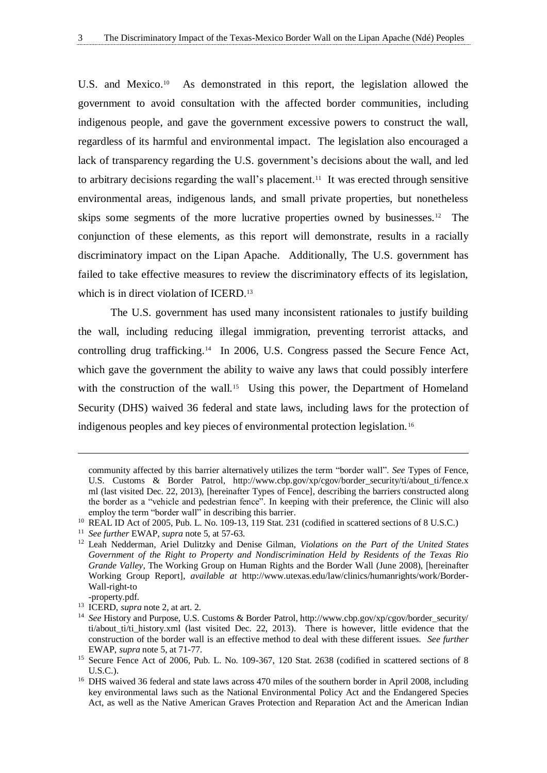U.S. and Mexico.<sup>10</sup> As demonstrated in this report, the legislation allowed the government to avoid consultation with the affected border communities, including indigenous people, and gave the government excessive powers to construct the wall, regardless of its harmful and environmental impact. The legislation also encouraged a lack of transparency regarding the U.S. government's decisions about the wall, and led to arbitrary decisions regarding the wall's placement.<sup>11</sup> It was erected through sensitive environmental areas, indigenous lands, and small private properties, but nonetheless skips some segments of the more lucrative properties owned by businesses.<sup>12</sup> The conjunction of these elements, as this report will demonstrate, results in a racially discriminatory impact on the Lipan Apache. Additionally, The U.S. government has failed to take effective measures to review the discriminatory effects of its legislation, which is in direct violation of ICERD.<sup>13</sup>

The U.S. government has used many inconsistent rationales to justify building the wall, including reducing illegal immigration, preventing terrorist attacks, and controlling drug trafficking.<sup>14</sup> In 2006, U.S. Congress passed the Secure Fence Act, which gave the government the ability to waive any laws that could possibly interfere with the construction of the wall.<sup>15</sup> Using this power, the Department of Homeland Security (DHS) waived 36 federal and state laws, including laws for the protection of indigenous peoples and key pieces of environmental protection legislation. <sup>16</sup>

community affected by this barrier alternatively utilizes the term "border wall". *See* Types of Fence, U.S. Customs & Border Patrol, http://www.cbp.gov/xp/cgov/border\_security/ti/about\_ti/fence.x ml (last visited Dec. 22, 2013), [hereinafter Types of Fence], describing the barriers constructed along the border as a "vehicle and pedestrian fence". In keeping with their preference, the Clinic will also employ the term "border wall" in describing this barrier.

<sup>&</sup>lt;sup>10</sup> REAL ID Act of 2005, Pub. L. No. 109-13, 119 Stat. 231 (codified in scattered sections of 8 U.S.C.)

<sup>11</sup> *See further* EWAP, *supra* note 5, at 57-63.

<sup>12</sup> Leah Nedderman, Ariel Dulitzky and Denise Gilman, *Violations on the Part of the United States Government of the Right to Property and Nondiscrimination Held by Residents of the Texas Rio Grande Valley,* The Working Group on Human Rights and the Border Wall (June 2008), [hereinafter Working Group Report], *available at* http://www.utexas.edu/law/clinics/humanrights/work/Border-Wall-right-to

<sup>-</sup>property.pdf.

<sup>13</sup> ICERD, *supra* note 2, at art. 2.

<sup>14</sup> *See* History and Purpose, U.S. Customs & Border Patrol, http://www.cbp.gov/xp/cgov/border\_security/ ti/about\_ti/ti\_history.xml (last visited Dec. 22, 2013). There is however, little evidence that the construction of the border wall is an effective method to deal with these different issues. *See further* EWAP, *supra* note 5, at 71-77.

<sup>&</sup>lt;sup>15</sup> Secure Fence Act of 2006, Pub. L. No. 109-367, 120 Stat. 2638 (codified in scattered sections of 8 U.S.C.).

<sup>&</sup>lt;sup>16</sup> DHS waived 36 federal and state laws across 470 miles of the southern border in April 2008, including key environmental laws such as the National Environmental Policy Act and the Endangered Species Act, as well as the Native American Graves Protection and Reparation Act and the American Indian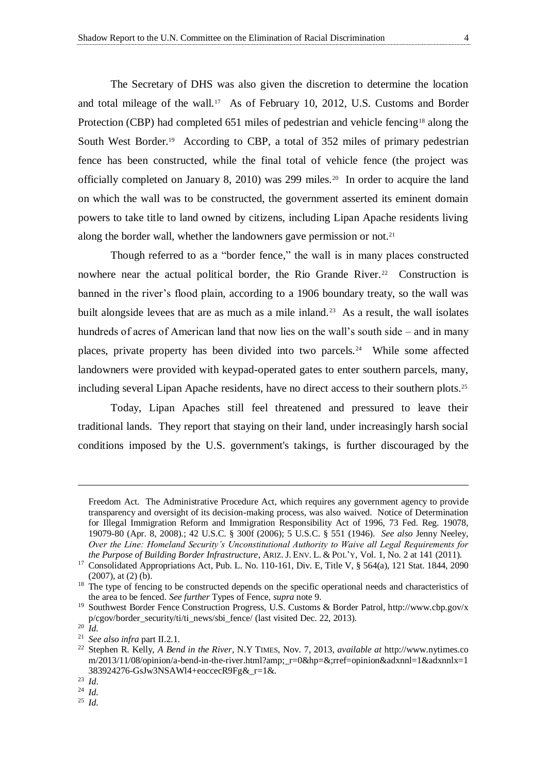The Secretary of DHS was also given the discretion to determine the location and total mileage of the wall.<sup>17</sup> As of February 10, 2012, U.S. Customs and Border Protection (CBP) had completed 651 miles of pedestrian and vehicle fencing<sup>18</sup> along the South West Border.<sup>19</sup> According to CBP, a total of 352 miles of primary pedestrian fence has been constructed, while the final total of vehicle fence (the project was officially completed on January 8, 2010) was 299 miles.<sup>20</sup> In order to acquire the land on which the wall was to be constructed, the government asserted its eminent domain powers to take title to land owned by citizens, including Lipan Apache residents living along the border wall, whether the landowners gave permission or not.<sup>21</sup>

Though referred to as a "border fence," the wall is in many places constructed nowhere near the actual political border, the Rio Grande River.<sup>22</sup> Construction is banned in the river's flood plain, according to a 1906 boundary treaty, so the wall was built alongside levees that are as much as a mile inland.<sup>23</sup> As a result, the wall isolates hundreds of acres of American land that now lies on the wall's south side – and in many places, private property has been divided into two parcels.<sup>24</sup> While some affected landowners were provided with keypad-operated gates to enter southern parcels, many, including several Lipan Apache residents, have no direct access to their southern plots.<sup>25</sup>

Today, Lipan Apaches still feel threatened and pressured to leave their traditional lands. They report that staying on their land, under increasingly harsh social conditions imposed by the U.S. government's takings, is further discouraged by the

Freedom Act. The Administrative Procedure Act, which requires any government agency to provide transparency and oversight of its decision-making process, was also waived. Notice of Determination for Illegal Immigration Reform and Immigration Responsibility Act of 1996, 73 Fed. Reg. 19078, 19079-80 (Apr. 8, 2008).; 42 U.S.C. § 300f (2006); 5 U.S.C. § 551 (1946). *See also* Jenny Neeley, *Over the Line: Homeland Security's Unconstitutional Authority to Waive all Legal Requirements for the Purpose of Building Border Infrastructure*, ARIZ. J. ENV. L. & POL'Y, Vol. 1, No. 2 at 141 (2011).

<sup>&</sup>lt;sup>17</sup> Consolidated Appropriations Act, Pub. L. No. 110-161, Div. E, Title V, § 564(a), 121 Stat. 1844, 2090 (2007), at (2) (b).

<sup>&</sup>lt;sup>18</sup> The type of fencing to be constructed depends on the specific operational needs and characteristics of the area to be fenced. *See further* Types of Fence, *supra* note 9.

<sup>19</sup> Southwest Border Fence Construction Progress, U.S. Customs & Border Patrol, http://www.cbp.gov/x p/cgov/border\_security/ti/ti\_news/sbi\_fence/ (last visited Dec. 22, 2013).

<sup>20</sup> *Id.*

<sup>21</sup> *See also infra* part II.2.1.

<sup>22</sup> Stephen R. Kelly, *A Bend in the River*, N.Y TIMES, Nov. 7, 2013, *available at* [http://www.nytimes.co](http://www.nytimes.co/) m/2013/11/08/opinion/a-bend-in-the-river.html?amp;\_r=0&hp=&;rref=opinion&adxnnl=1&adxnnlx=1 383924276-GsJw3NSAWl4+eoccecR9Fg&\_r=1&.

<sup>23</sup> *Id*.

<sup>24</sup> *Id.*

<sup>25</sup> *Id.*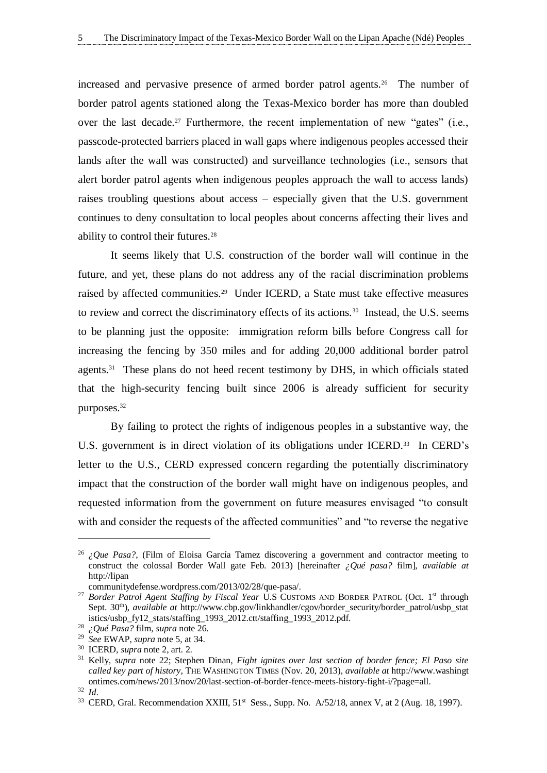increased and pervasive presence of armed border patrol agents.<sup>26</sup> The number of border patrol agents stationed along the Texas-Mexico border has more than doubled over the last decade.<sup>27</sup> Furthermore, the recent implementation of new "gates" (i.e., passcode-protected barriers placed in wall gaps where indigenous peoples accessed their lands after the wall was constructed) and surveillance technologies (i.e., sensors that alert border patrol agents when indigenous peoples approach the wall to access lands) raises troubling questions about access – especially given that the U.S. government continues to deny consultation to local peoples about concerns affecting their lives and ability to control their futures.<sup>28</sup>

It seems likely that U.S. construction of the border wall will continue in the future, and yet, these plans do not address any of the racial discrimination problems raised by affected communities. <sup>29</sup> Under ICERD, a State must take effective measures to review and correct the discriminatory effects of its actions.<sup>30</sup> Instead, the U.S. seems to be planning just the opposite: immigration reform bills before Congress call for increasing the fencing by 350 miles and for adding 20,000 additional border patrol agents.<sup>31</sup> These plans do not heed recent testimony by DHS, in which officials stated that the high-security fencing built since 2006 is already sufficient for security purposes.<sup>32</sup>

By failing to protect the rights of indigenous peoples in a substantive way, the U.S. government is in direct violation of its obligations under ICERD.<sup>33</sup> In CERD's letter to the U.S., CERD expressed concern regarding the potentially discriminatory impact that the construction of the border wall might have on indigenous peoples, and requested information from the government on future measures envisaged "to consult with and consider the requests of the affected communities" and "to reverse the negative

<sup>&</sup>lt;sup>26</sup> *¿Que Pasa?*, (Film of Eloisa García Tamez discovering a government and contractor meeting to construct the colossal Border Wall gate Feb. 2013) [hereinafter *¿Qué pasa?* film], *available at* http://lipan

communitydefense.wordpress.com/2013/02/28/que-pasa/.

<sup>&</sup>lt;sup>27</sup> Border Patrol Agent Staffing by Fiscal Year U.S CUSTOMS AND BORDER PATROL (Oct. 1<sup>st</sup> through Sept. 30th), *available at* http://www.cbp.gov/linkhandler/cgov/border\_security/border\_patrol/usbp\_stat istics/usbp\_fy12\_stats/staffing\_1993\_2012.ctt/staffing\_1993\_2012.pdf.

<sup>28</sup> *¿Qué Pasa?* film, *supra* note 26.

<sup>29</sup> *See* EWAP, *supra* note 5, at 34.

<sup>30</sup> ICERD, *supra* note 2, art. 2.

<sup>31</sup> Kelly, *supra* note 22; Stephen Dinan, *Fight ignites over last section of border fence; El Paso site called key part of history,* THE WASHINGTON TIMES (Nov. 20, 2013), *available at* http://www.washingt ontimes.com/news/2013/nov/20/last-section-of-border-fence-meets-history-fight-i/?page=all.

<sup>32</sup> *Id*.

<sup>&</sup>lt;sup>33</sup> CERD, Gral. Recommendation XXIII,  $51<sup>st</sup>$  Sess., Supp. No.  $A/52/18$ , annex V, at 2 (Aug. 18, 1997).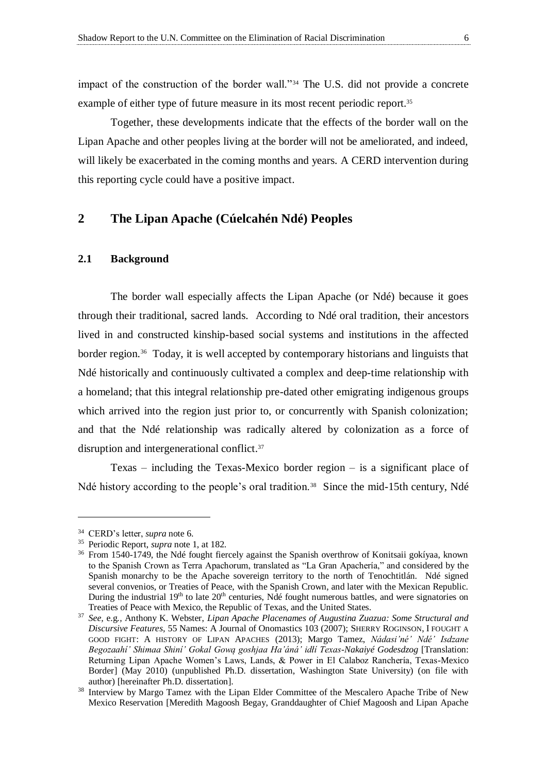impact of the construction of the border wall."<sup>34</sup> The U.S. did not provide a concrete example of either type of future measure in its most recent periodic report.<sup>35</sup>

Together, these developments indicate that the effects of the border wall on the Lipan Apache and other peoples living at the border will not be ameliorated, and indeed, will likely be exacerbated in the coming months and years. A CERD intervention during this reporting cycle could have a positive impact.

#### <span id="page-11-1"></span>**2 The Lipan Apache (Cúelcahén Ndé) Peoples**

#### <span id="page-11-0"></span>**2.1 Background**

The border wall especially affects the Lipan Apache (or Ndé) because it goes through their traditional, sacred lands. According to Ndé oral tradition, their ancestors lived in and constructed kinship-based social systems and institutions in the affected border region.<sup>36</sup> Today, it is well accepted by contemporary historians and linguists that Ndé historically and continuously cultivated a complex and deep-time relationship with a homeland; that this integral relationship pre-dated other emigrating indigenous groups which arrived into the region just prior to, or concurrently with Spanish colonization; and that the Ndé relationship was radically altered by colonization as a force of disruption and intergenerational conflict.<sup>37</sup>

Texas – including the Texas-Mexico border region – is a significant place of Ndé history according to the people's oral tradition.<sup>38</sup> Since the mid-15th century, Ndé

<sup>34</sup> CERD's letter, *supra* note 6.

<sup>35</sup> Periodic Report, *supra* note 1, at 182.

<sup>&</sup>lt;sup>36</sup> From 1540-1749, the Ndé fought fiercely against the Spanish overthrow of Konitsaii gokíyaa, known to the Spanish Crown as Terra Apachorum, translated as "La Gran Apachería," and considered by the Spanish monarchy to be the Apache sovereign territory to the north of Tenochtitlán. Ndé signed several convenios, or Treaties of Peace, with the Spanish Crown, and later with the Mexican Republic. During the industrial 19<sup>th</sup> to late 20<sup>th</sup> centuries, Ndé fought numerous battles, and were signatories on Treaties of Peace with Mexico, the Republic of Texas, and the United States.

<sup>37</sup> *See,* e.g*.,* Anthony K. Webster, *Lipan Apache Placenames of Augustina Zuazua: Some Structural and Discursive Features,* 55 Names: A Journal of Onomastics 103 (2007); SHERRY ROGINSON, I FOUGHT A GOOD FIGHT: A HISTORY OF LIPAN APACHES (2013); Margo Tamez, *Nádasi'né' Ndé' Isdzane Begozaahí' Shimaa Shiní' Gokal Gową goshjaa Ha'áná' idłí Texas-Nakaiyé Godesdzog* [Translation: Returning Lipan Apache Women's Laws, Lands, & Power in El Calaboz Ranchería, Texas-Mexico Border] (May 2010) (unpublished Ph.D. dissertation, Washington State University) (on file with author) [hereinafter Ph.D. dissertation].

<sup>&</sup>lt;sup>38</sup> Interview by Margo Tamez with the Lipan Elder Committee of the Mescalero Apache Tribe of New Mexico Reservation [Meredith Magoosh Begay, Granddaughter of Chief Magoosh and Lipan Apache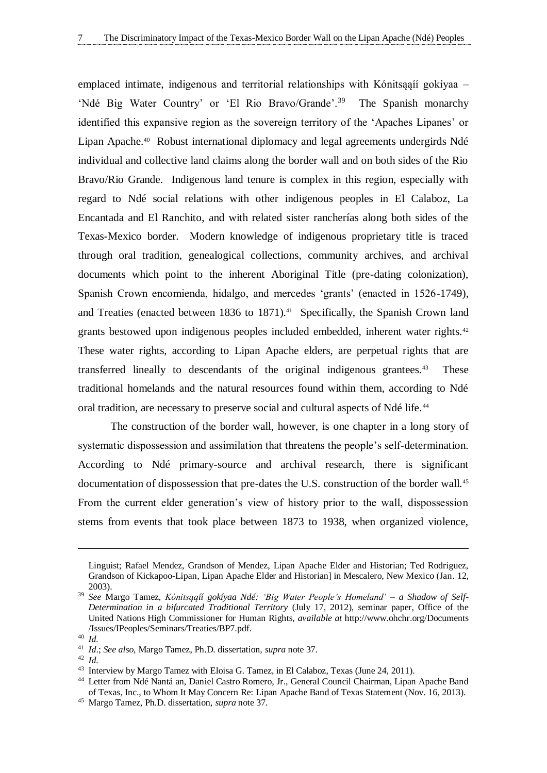emplaced intimate, indigenous and territorial relationships with Kónitsąąíí gokíyaa – 'Ndé Big Water Country' or 'El Rio Bravo/Grande'.<sup>39</sup> The Spanish monarchy identified this expansive region as the sovereign territory of the 'Apaches Lipanes' or Lipan Apache.<sup>40</sup> Robust international diplomacy and legal agreements undergirds Ndé individual and collective land claims along the border wall and on both sides of the Rio Bravo/Rio Grande. Indigenous land tenure is complex in this region, especially with regard to Ndé social relations with other indigenous peoples in El Calaboz, La Encantada and El Ranchito, and with related sister rancherías along both sides of the Texas-Mexico border. Modern knowledge of indigenous proprietary title is traced through oral tradition, genealogical collections, community archives, and archival documents which point to the inherent Aboriginal Title (pre-dating colonization), Spanish Crown encomienda, hidalgo, and mercedes 'grants' (enacted in 1526-1749), and Treaties (enacted between 1836 to 1871).<sup>41</sup> Specifically, the Spanish Crown land grants bestowed upon indigenous peoples included embedded, inherent water rights.<sup>42</sup> These water rights, according to Lipan Apache elders, are perpetual rights that are transferred lineally to descendants of the original indigenous grantees.<sup>43</sup> These traditional homelands and the natural resources found within them, according to Ndé oral tradition, are necessary to preserve social and cultural aspects of Ndé life. <sup>44</sup>

The construction of the border wall, however, is one chapter in a long story of systematic dispossession and assimilation that threatens the people's self-determination. According to Ndé primary-source and archival research, there is significant documentation of dispossession that pre-dates the U.S. construction of the border wall.<sup>45</sup> From the current elder generation's view of history prior to the wall, dispossession stems from events that took place between 1873 to 1938, when organized violence,

Linguist; Rafael Mendez, Grandson of Mendez, Lipan Apache Elder and Historian; Ted Rodriguez, Grandson of Kickapoo-Lipan, Lipan Apache Elder and Historian] in Mescalero, New Mexico (Jan. 12, 2003).

<sup>39</sup> *See* Margo Tamez, *Kónitsąąíí gokíyaa Ndé: 'Big Water People's Homeland' – a Shadow of Self-Determination in a bifurcated Traditional Territory* (July 17, 2012), seminar paper, Office of the United Nations High Commissioner for Human Rights, *available at* http://www.ohchr.org/Documents /Issues/IPeoples/Seminars/Treaties/BP7.pdf.

<sup>40</sup> *Id.*

<sup>41</sup> *Id*.; *See also*, Margo Tamez, Ph.D. dissertation, *supra* note 37.

<sup>42</sup> *Id.*

<sup>43</sup> Interview by Margo Tamez with Eloisa G. Tamez, in El Calaboz, Texas (June 24, 2011).

<sup>44</sup> Letter from Ndé Nantá an, Daniel Castro Romero, Jr., General Council Chairman, Lipan Apache Band of Texas, Inc., to Whom It May Concern Re: Lipan Apache Band of Texas Statement (Nov. 16, 2013).

<sup>45</sup> Margo Tamez, Ph.D. dissertation, *supra* note 37.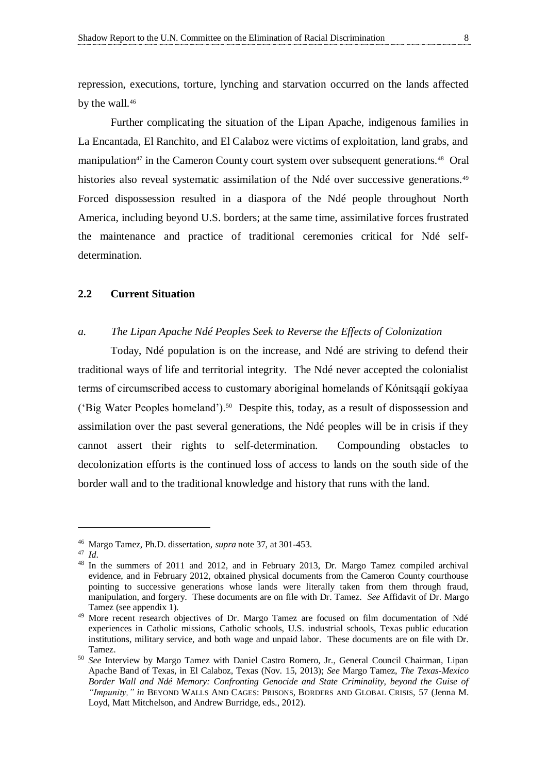repression, executions, torture, lynching and starvation occurred on the lands affected by the wall.<sup>46</sup>

Further complicating the situation of the Lipan Apache, indigenous families in La Encantada, El Ranchito, and El Calaboz were victims of exploitation, land grabs, and manipulation<sup>47</sup> in the Cameron County court system over subsequent generations.<sup>48</sup> Oral histories also reveal systematic assimilation of the Ndé over successive generations.<sup>49</sup> Forced dispossession resulted in a diaspora of the Ndé people throughout North America, including beyond U.S. borders; at the same time, assimilative forces frustrated the maintenance and practice of traditional ceremonies critical for Ndé selfdetermination.

#### <span id="page-13-0"></span>**2.2 Current Situation**

#### *a. The Lipan Apache Ndé Peoples Seek to Reverse the Effects of Colonization*

Today, Ndé population is on the increase, and Ndé are striving to defend their traditional ways of life and territorial integrity. The Ndé never accepted the colonialist terms of circumscribed access to customary aboriginal homelands of Kónitsąąíí gokíyaa ('Big Water Peoples homeland').<sup>50</sup> Despite this, today, as a result of dispossession and assimilation over the past several generations, the Ndé peoples will be in crisis if they cannot assert their rights to self-determination. Compounding obstacles to decolonization efforts is the continued loss of access to lands on the south side of the border wall and to the traditional knowledge and history that runs with the land.

<sup>46</sup> Margo Tamez, Ph.D. dissertation, *supra* note 37, at 301-453.

<sup>47</sup> *Id*.

<sup>48</sup> In the summers of 2011 and 2012, and in February 2013, Dr. Margo Tamez compiled archival evidence, and in February 2012, obtained physical documents from the Cameron County courthouse pointing to successive generations whose lands were literally taken from them through fraud, manipulation, and forgery. These documents are on file with Dr. Tamez. *See* Affidavit of Dr. Margo Tamez (see appendix 1).

<sup>&</sup>lt;sup>49</sup> More recent research objectives of Dr. Margo Tamez are focused on film documentation of Ndé experiences in Catholic missions, Catholic schools, U.S. industrial schools, Texas public education institutions, military service, and both wage and unpaid labor. These documents are on file with Dr. Tamez.

<sup>50</sup> *See* Interview by Margo Tamez with Daniel Castro Romero, Jr., General Council Chairman, Lipan Apache Band of Texas, in El Calaboz, Texas (Nov. 15, 2013); *See* Margo Tamez, *The Texas-Mexico Border Wall and Ndé Memory: Confronting Genocide and State Criminality, beyond the Guise of "Impunity," in* BEYOND WALLS AND CAGES: PRISONS, BORDERS AND GLOBAL CRISIS, 57 (Jenna M. Loyd, Matt Mitchelson, and Andrew Burridge, eds., 2012).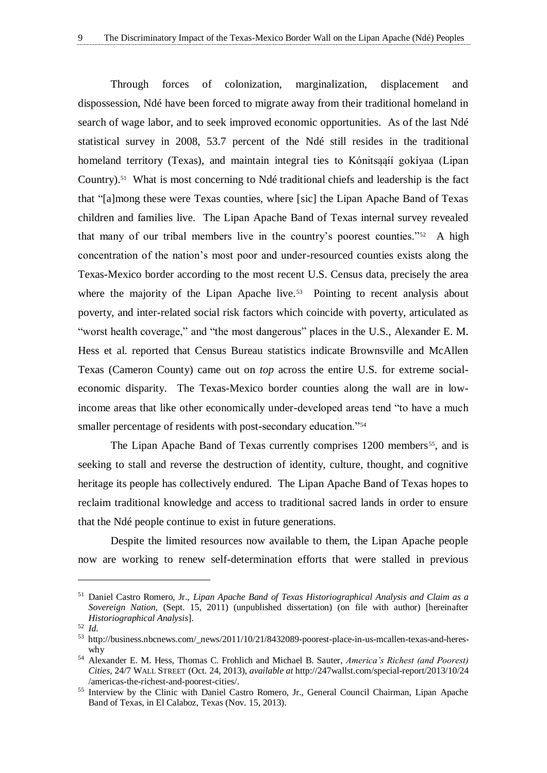Through forces of colonization, marginalization, displacement and dispossession, Ndé have been forced to migrate away from their traditional homeland in search of wage labor, and to seek improved economic opportunities. As of the last Ndé statistical survey in 2008, 53.7 percent of the Ndé still resides in the traditional homeland territory (Texas), and maintain integral ties to Kónitsąąíí gokíyaa (Lipan Country).<sup>51</sup> What is most concerning to Ndé traditional chiefs and leadership is the fact that "[a]mong these were Texas counties, where [sic] the Lipan Apache Band of Texas children and families live. The Lipan Apache Band of Texas internal survey revealed that many of our tribal members live in the country's poorest counties."<sup>52</sup> A high concentration of the nation's most poor and under-resourced counties exists along the Texas-Mexico border according to the most recent U.S. Census data, precisely the area where the majority of the Lipan Apache live.<sup>53</sup> Pointing to recent analysis about poverty, and inter-related social risk factors which coincide with poverty, articulated as "worst health coverage," and "the most dangerous" places in the U.S., Alexander E. M. Hess et al. reported that Census Bureau statistics indicate Brownsville and McAllen Texas (Cameron County) came out on *top* across the entire U.S. for extreme socialeconomic disparity. The Texas-Mexico border counties along the wall are in lowincome areas that like other economically under-developed areas tend "to have a much smaller percentage of residents with post-secondary education."<sup>54</sup>

The Lipan Apache Band of Texas currently comprises 1200 members<sup>55</sup>, and is seeking to stall and reverse the destruction of identity, culture, thought, and cognitive heritage its people has collectively endured. The Lipan Apache Band of Texas hopes to reclaim traditional knowledge and access to traditional sacred lands in order to ensure that the Ndé people continue to exist in future generations.

Despite the limited resources now available to them, the Lipan Apache people now are working to renew self-determination efforts that were stalled in previous

<sup>51</sup> Daniel Castro Romero, Jr., *Lipan Apache Band of Texas Historiographical Analysis and Claim as a Sovereign Nation*, (Sept. 15, 2011) (unpublished dissertation) (on file with author) [hereinafter *Historiographical Analysis*].

<sup>52</sup> *Id.*

<sup>53</sup> http://business.nbcnews.com/\_news/2011/10/21/8432089-poorest-place-in-us-mcallen-texas-and-hereswhy

<sup>54</sup> Alexander E. M. Hess, Thomas C. Frohlich and Michael B. Sauter, *America's Richest (and Poorest) Cities,* 24/7 WALL STREET (Oct. 24, 2013), *available at* http://247wallst.com/special-report/2013/10/24 /americas-the-richest-and-poorest-cities/.

<sup>&</sup>lt;sup>55</sup> Interview by the Clinic with Daniel Castro Romero, Jr., General Council Chairman, Lipan Apache Band of Texas, in El Calaboz, Texas (Nov. 15, 2013).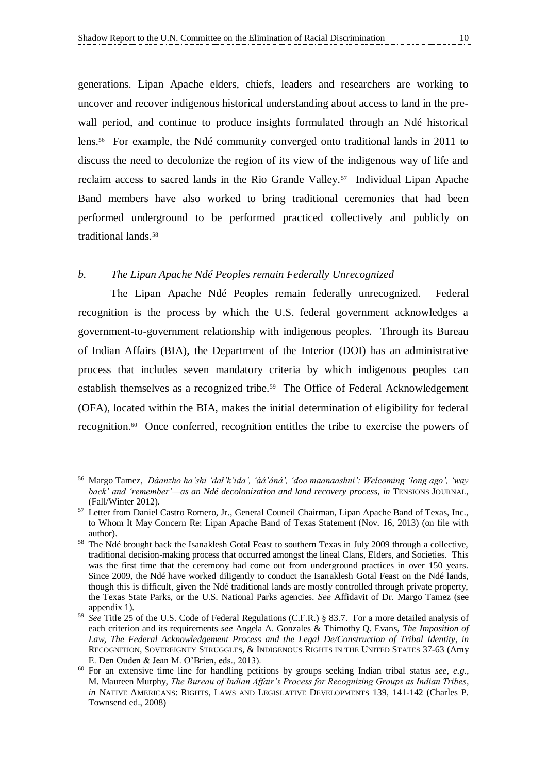generations. Lipan Apache elders, chiefs, leaders and researchers are working to uncover and recover indigenous historical understanding about access to land in the prewall period, and continue to produce insights formulated through an Ndé historical lens.<sup>56</sup> For example, the Ndé community converged onto traditional lands in 2011 to discuss the need to decolonize the region of its view of the indigenous way of life and reclaim access to sacred lands in the Rio Grande Valley.<sup>57</sup> Individual Lipan Apache Band members have also worked to bring traditional ceremonies that had been performed underground to be performed practiced collectively and publicly on traditional lands.<sup>58</sup>

#### *b. The Lipan Apache Ndé Peoples remain Federally Unrecognized*

 $\overline{a}$ 

The Lipan Apache Ndé Peoples remain federally unrecognized. Federal recognition is the process by which the U.S. federal government acknowledges a government-to-government relationship with indigenous peoples. Through its Bureau of Indian Affairs (BIA), the Department of the Interior (DOI) has an administrative process that includes seven mandatory criteria by which indigenous peoples can establish themselves as a recognized tribe.<sup>59</sup> The Office of Federal Acknowledgement (OFA), located within the BIA, makes the initial determination of eligibility for federal recognition.<sup>60</sup> Once conferred, recognition entitles the tribe to exercise the powers of

<sup>56</sup> Margo Tamez, *Dáanzho ha'shi 'dał'k'ida', 'áá'áná', 'doo maanaashni': Welcoming 'long ago', 'way back' and 'remember'—as an Ndé decolonization and land recovery process*, *in* TENSIONS JOURNAL, (Fall/Winter 2012).

<sup>57</sup> Letter from Daniel Castro Romero, Jr., General Council Chairman, Lipan Apache Band of Texas, Inc., to Whom It May Concern Re: Lipan Apache Band of Texas Statement (Nov. 16, 2013) (on file with author).

<sup>&</sup>lt;sup>58</sup> The Ndé brought back the Isanaklesh Gotal Feast to southern Texas in July 2009 through a collective, traditional decision-making process that occurred amongst the lineal Clans, Elders, and Societies. This was the first time that the ceremony had come out from underground practices in over 150 years. Since 2009, the Ndé have worked diligently to conduct the Isanaklesh Gotal Feast on the Ndé lands, though this is difficult, given the Ndé traditional lands are mostly controlled through private property, the Texas State Parks, or the U.S. National Parks agencies. *See* Affidavit of Dr. Margo Tamez (see appendix 1).

<sup>59</sup> *See* Title 25 of the U.S. Code of Federal Regulations (C.F.R.) § 83.7. For a more detailed analysis of each criterion and its requirements *see* Angela A. Gonzales & Thimothy Q. Evans, *The Imposition of Law, The Federal Acknowledgement Process and the Legal De/Construction of Tribal Identity*, *in*  RECOGNITION, SOVEREIGNTY STRUGGLES, & INDIGENOUS RIGHTS IN THE UNITED STATES 37-63 (Amy E. Den Ouden & Jean M. O'Brien, eds., 2013).

<sup>60</sup> For an extensive time line for handling petitions by groups seeking Indian tribal status *see, e.g.,*  M. Maureen Murphy, *The Bureau of Indian Affair's Process for Recognizing Groups as Indian Tribes*, *in* NATIVE AMERICANS: RIGHTS, LAWS AND LEGISLATIVE DEVELOPMENTS 139, 141-142 (Charles P. Townsend ed., 2008)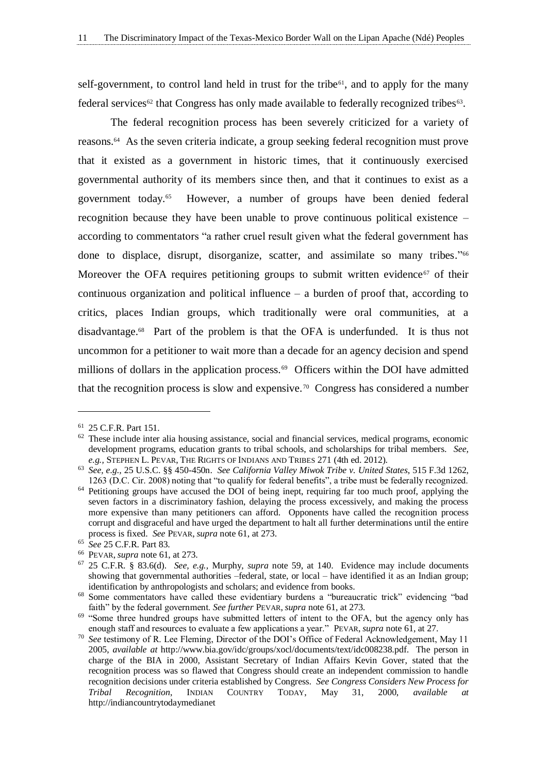self-government, to control land held in trust for the tribe<sup> $61$ </sup>, and to apply for the many federal services<sup>62</sup> that Congress has only made available to federally recognized tribes<sup>63</sup>.

The federal recognition process has been severely criticized for a variety of reasons.<sup>64</sup> As the seven criteria indicate, a group seeking federal recognition must prove that it existed as a government in historic times, that it continuously exercised governmental authority of its members since then, and that it continues to exist as a government today.<sup>65</sup> However, a number of groups have been denied federal recognition because they have been unable to prove continuous political existence – according to commentators "a rather cruel result given what the federal government has done to displace, disrupt, disorganize, scatter, and assimilate so many tribes." 66 Moreover the OFA requires petitioning groups to submit written evidence<sup> $67$ </sup> of their continuous organization and political influence – a burden of proof that, according to critics, places Indian groups, which traditionally were oral communities, at a disadvantage.<sup>68</sup> Part of the problem is that the OFA is underfunded. It is thus not uncommon for a petitioner to wait more than a decade for an agency decision and spend millions of dollars in the application process.<sup>69</sup> Officers within the DOI have admitted that the recognition process is slow and expensive.<sup>70</sup> Congress has considered a number

<sup>61</sup> 25 C.F.R. Part 151.

 $62$  These include inter alia housing assistance, social and financial services, medical programs, economic development programs, education grants to tribal schools, and scholarships for tribal members. *See, e.g.,* STEPHEN L. PEVAR, THE RIGHTS OF INDIANS AND TRIBES 271 (4th ed. 2012).

<sup>63</sup> *See, e.g.,* 25 U.S.C. §§ 450-450n. *See California Valley Miwok Tribe v. United States*, 515 F.3d 1262, 1263 (D.C. Cir. 2008) noting that "to qualify for federal benefits", a tribe must be federally recognized.

<sup>&</sup>lt;sup>64</sup> Petitioning groups have accused the DOI of being inept, requiring far too much proof, applying the seven factors in a discriminatory fashion, delaying the process excessively, and making the process more expensive than many petitioners can afford. Opponents have called the recognition process corrupt and disgraceful and have urged the department to halt all further determinations until the entire process is fixed. *See* PEVAR, *supra* note 61, at 273.

<sup>65</sup> *See* 25 C.F.R. Part 83.

<sup>66</sup> PEVAR, *supra* note 61, at 273.

<sup>67</sup> 25 C.F.R. § 83.6(d). *See, e.g.,* Murphy, *supra* note 59, at 140. Evidence may include documents showing that governmental authorities –federal, state, or local – have identified it as an Indian group; identification by anthropologists and scholars; and evidence from books.

<sup>&</sup>lt;sup>68</sup> Some commentators have called these evidentiary burdens a "bureaucratic trick" evidencing "bad faith" by the federal government. *See further* PEVAR, *supra* note 61, at 273.

<sup>&</sup>lt;sup>69</sup> "Some three hundred groups have submitted letters of intent to the OFA, but the agency only has enough staff and resources to evaluate a few applications a year." PEVAR, *supra* note 61, at 27.

<sup>70</sup> *See* testimony of R. Lee Fleming, Director of the DOI's Office of Federal Acknowledgement, May 11 2005, *available at* http://www.bia.gov/idc/groups/xocl/documents/text/idc008238.pdf. The person in charge of the BIA in 2000, Assistant Secretary of Indian Affairs Kevin Gover, stated that the recognition process was so flawed that Congress should create an independent commission to handle recognition decisions under criteria established by Congress*. See Congress Considers New Process for Tribal Recognition*, INDIAN COUNTRY TODAY, May 31, 2000, *available at* http://indiancountrytodaymedianet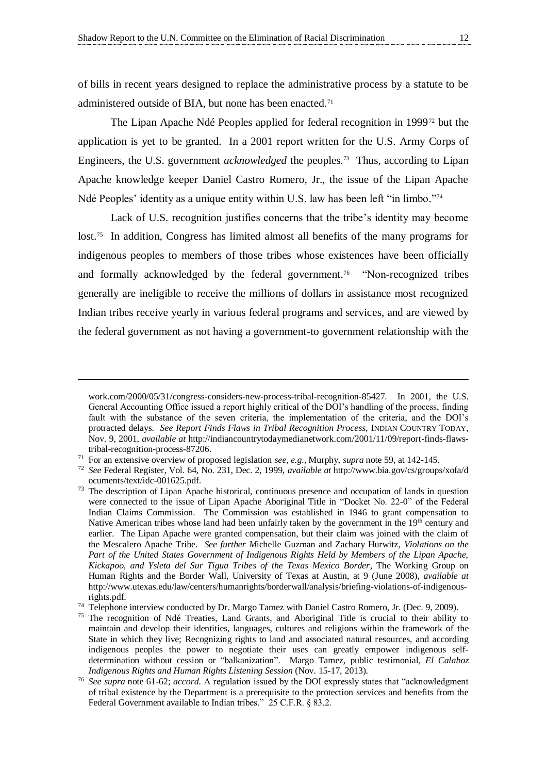of bills in recent years designed to replace the administrative process by a statute to be administered outside of BIA, but none has been enacted.<sup>71</sup>

The Lipan Apache Ndé Peoples applied for federal recognition in 1999<sup>72</sup> but the application is yet to be granted. In a 2001 report written for the U.S. Army Corps of Engineers, the U.S. government *acknowledged* the peoples.<sup>73</sup> Thus, according to Lipan Apache knowledge keeper Daniel Castro Romero, Jr., the issue of the Lipan Apache Ndé Peoples' identity as a unique entity within U.S. law has been left "in limbo."<sup>74</sup>

Lack of U.S. recognition justifies concerns that the tribe's identity may become lost.<sup>75</sup> In addition, Congress has limited almost all benefits of the many programs for indigenous peoples to members of those tribes whose existences have been officially and formally acknowledged by the federal government.<sup>76</sup> "Non-recognized tribes generally are ineligible to receive the millions of dollars in assistance most recognized Indian tribes receive yearly in various federal programs and services, and are viewed by the federal government as not having a government-to government relationship with the

work.com/2000/05/31/congress-considers-new-process-tribal-recognition-85427. In 2001, the U.S. General Accounting Office issued a report highly critical of the DOI's handling of the process, finding fault with the substance of the seven criteria, the implementation of the criteria, and the DOI's protracted delays. *See Report Finds Flaws in Tribal Recognition Process,* INDIAN COUNTRY TODAY, Nov. 9, 2001, *available at* http://indiancountrytodaymedianetwork.com/2001/11/09/report-finds-flawstribal-recognition-process-87206.

<sup>71</sup> For an extensive overview of proposed legislation *see, e.g.,* Murphy, *supra* note 59, at 142-145.

<sup>72</sup> *See* Federal Register, Vol. 64, No. 231, Dec. 2, 1999, *available at* http://www.bia.gov/cs/groups/xofa/d ocuments/text/idc-001625.pdf.

<sup>&</sup>lt;sup>73</sup> The description of Lipan Apache historical, continuous presence and occupation of lands in question were connected to the issue of Lipan Apache Aboriginal Title in "Docket No. 22-0" of the Federal Indian Claims Commission. The Commission was established in 1946 to grant compensation to Native American tribes whose land had been unfairly taken by the government in the  $19<sup>th</sup>$  century and earlier. The Lipan Apache were granted compensation, but their claim was joined with the claim of the Mescalero Apache Tribe. *See further M*ichelle Guzman and Zachary Hurwitz, *Violations on the Part of the United States Government of Indigenous Rights Held by Members of the Lipan Apache, Kickapoo, and Ysleta del Sur Tigua Tribes of the Texas Mexico Border*, The Working Group on Human Rights and the Border Wall, University of Texas at Austin, at 9 (June 2008), *available at* http://www.utexas.edu/law/centers/humanrights/borderwall/analysis/briefing-violations-of-indigenousrights.pdf.

<sup>&</sup>lt;sup>74</sup> Telephone interview conducted by Dr. Margo Tamez with Daniel Castro Romero, Jr. (Dec. 9, 2009).

<sup>&</sup>lt;sup>75</sup> The recognition of Ndé Treaties, Land Grants, and Aboriginal Title is crucial to their ability to maintain and develop their identities, languages, cultures and religions within the framework of the State in which they live; Recognizing rights to land and associated natural resources, and according indigenous peoples the power to negotiate their uses can greatly empower indigenous selfdetermination without cession or "balkanization". Margo Tamez, public testimonial, *El Calaboz Indigenous Rights and Human Rights Listening Session* (Nov. 15-17, 2013).

<sup>76</sup> *See supra* note 61-62; *accord.* A regulation issued by the DOI expressly states that "acknowledgment of tribal existence by the Department is a prerequisite to the protection services and benefits from the Federal Government available to Indian tribes." 25 C.F.R. § 83.2.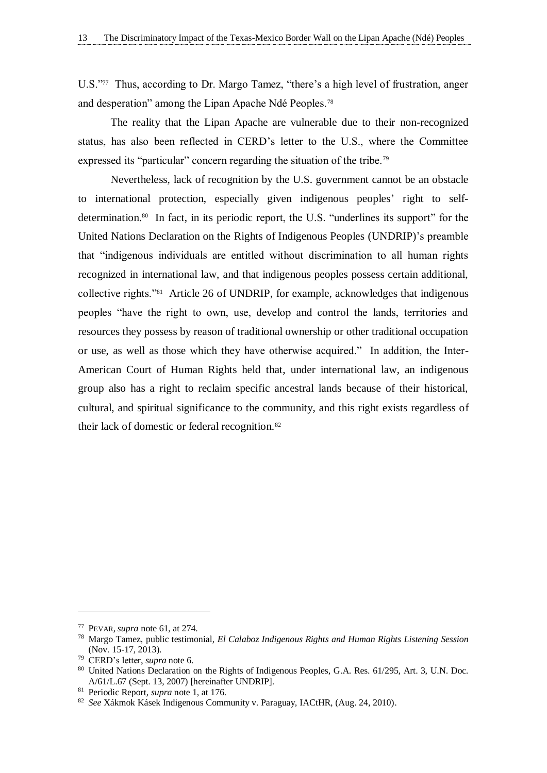U.S."77 Thus, according to Dr. Margo Tamez, "there's a high level of frustration, anger and desperation" among the Lipan Apache Ndé Peoples.<sup>78</sup>

The reality that the Lipan Apache are vulnerable due to their non-recognized status, has also been reflected in CERD's letter to the U.S., where the Committee expressed its "particular" concern regarding the situation of the tribe.<sup>79</sup>

Nevertheless, lack of recognition by the U.S. government cannot be an obstacle to international protection, especially given indigenous peoples' right to selfdetermination.<sup>80</sup> In fact, in its periodic report, the U.S. "underlines its support" for the United Nations Declaration on the Rights of Indigenous Peoples (UNDRIP)'s preamble that "indigenous individuals are entitled without discrimination to all human rights recognized in international law, and that indigenous peoples possess certain additional, collective rights."<sup>81</sup> Article 26 of UNDRIP, for example, acknowledges that indigenous peoples "have the right to own, use, develop and control the lands, territories and resources they possess by reason of traditional ownership or other traditional occupation or use, as well as those which they have otherwise acquired." In addition, the Inter-American Court of Human Rights held that, under international law, an indigenous group also has a right to reclaim specific ancestral lands because of their historical, cultural, and spiritual significance to the community, and this right exists regardless of their lack of domestic or federal recognition.<sup>82</sup>

<sup>77</sup> PEVAR, *supra* note 61, at 274.

<sup>78</sup> Margo Tamez, public testimonial, *El Calaboz Indigenous Rights and Human Rights Listening Session* (Nov. 15-17, 2013).

<sup>79</sup> CERD's letter, *supra* note 6.

<sup>&</sup>lt;sup>80</sup> United Nations Declaration on the Rights of Indigenous Peoples, G.A. Res. 61/295, Art. 3, U.N. Doc. A/61/L.67 (Sept. 13, 2007) [hereinafter UNDRIP].

<sup>81</sup> Periodic Report, *supra* note 1, at 176.

<sup>82</sup> *See* Xákmok Kásek Indigenous Community v. Paraguay, IACtHR, (Aug. 24, 2010).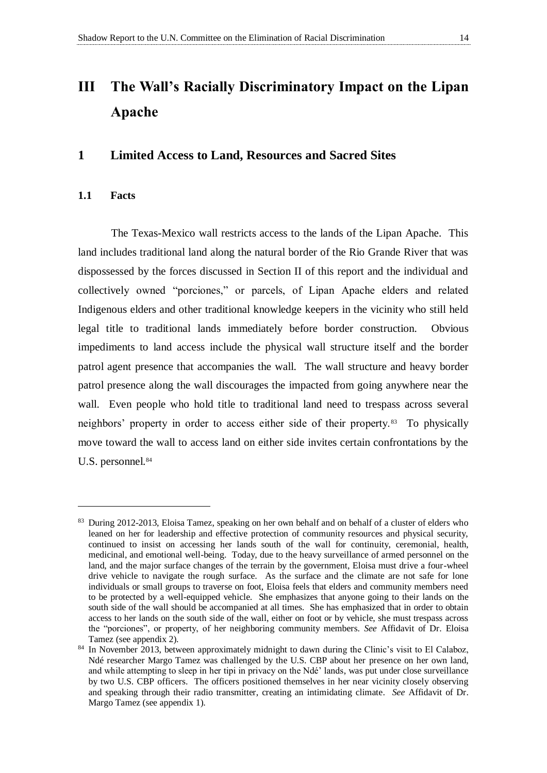# <span id="page-19-0"></span>**III The Wall's Racially Discriminatory Impact on the Lipan Apache**

#### <span id="page-19-2"></span>**1 Limited Access to Land, Resources and Sacred Sites**

#### <span id="page-19-1"></span>**1.1 Facts**

 $\overline{a}$ 

The Texas-Mexico wall restricts access to the lands of the Lipan Apache. This land includes traditional land along the natural border of the Rio Grande River that was dispossessed by the forces discussed in Section II of this report and the individual and collectively owned "porciones," or parcels, of Lipan Apache elders and related Indigenous elders and other traditional knowledge keepers in the vicinity who still held legal title to traditional lands immediately before border construction. Obvious impediments to land access include the physical wall structure itself and the border patrol agent presence that accompanies the wall. The wall structure and heavy border patrol presence along the wall discourages the impacted from going anywhere near the wall. Even people who hold title to traditional land need to trespass across several neighbors' property in order to access either side of their property. <sup>83</sup> To physically move toward the wall to access land on either side invites certain confrontations by the U.S. personnel.<sup>84</sup>

 $83$  During 2012-2013, Eloisa Tamez, speaking on her own behalf and on behalf of a cluster of elders who leaned on her for leadership and effective protection of community resources and physical security, continued to insist on accessing her lands south of the wall for continuity, ceremonial, health, medicinal, and emotional well-being. Today, due to the heavy surveillance of armed personnel on the land, and the major surface changes of the terrain by the government, Eloisa must drive a four-wheel drive vehicle to navigate the rough surface. As the surface and the climate are not safe for lone individuals or small groups to traverse on foot, Eloisa feels that elders and community members need to be protected by a well-equipped vehicle. She emphasizes that anyone going to their lands on the south side of the wall should be accompanied at all times. She has emphasized that in order to obtain access to her lands on the south side of the wall, either on foot or by vehicle, she must trespass across the "porciones", or property, of her neighboring community members. *See* Affidavit of Dr. Eloisa Tamez (see appendix 2).

<sup>&</sup>lt;sup>84</sup> In November 2013, between approximately midnight to dawn during the Clinic's visit to El Calaboz. Ndé researcher Margo Tamez was challenged by the U.S. CBP about her presence on her own land, and while attempting to sleep in her tipi in privacy on the Ndé' lands, was put under close surveillance by two U.S. CBP officers. The officers positioned themselves in her near vicinity closely observing and speaking through their radio transmitter, creating an intimidating climate. *See* Affidavit of Dr. Margo Tamez (see appendix 1).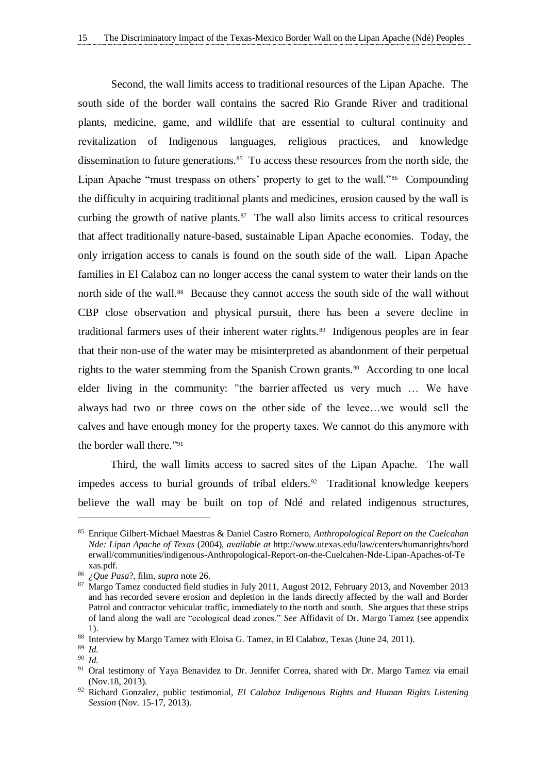Second, the wall limits access to traditional resources of the Lipan Apache. The south side of the border wall contains the sacred Rio Grande River and traditional plants, medicine, game, and wildlife that are essential to cultural continuity and revitalization of Indigenous languages, religious practices, and knowledge dissemination to future generations.<sup>85</sup> To access these resources from the north side, the Lipan Apache "must trespass on others' property to get to the wall."<sup>86</sup> Compounding the difficulty in acquiring traditional plants and medicines, erosion caused by the wall is curbing the growth of native plants. $87$  The wall also limits access to critical resources that affect traditionally nature-based, sustainable Lipan Apache economies. Today, the only irrigation access to canals is found on the south side of the wall. Lipan Apache families in El Calaboz can no longer access the canal system to water their lands on the north side of the wall.<sup>88</sup> Because they cannot access the south side of the wall without CBP close observation and physical pursuit, there has been a severe decline in traditional farmers uses of their inherent water rights.<sup>89</sup> Indigenous peoples are in fear that their non-use of the water may be misinterpreted as abandonment of their perpetual rights to the water stemming from the Spanish Crown grants.<sup>90</sup> According to one local elder living in the community: "the barrier affected us very much … We have always had two or three cows on the other side of the levee…we would sell the calves and have enough money for the property taxes. We cannot do this anymore with the border wall there." 91

Third, the wall limits access to sacred sites of the Lipan Apache. The wall impedes access to burial grounds of tribal elders.<sup>92</sup> Traditional knowledge keepers believe the wall may be built on top of Ndé and related indigenous structures,

<sup>85</sup> Enrique Gilbert-Michael Maestras & Daniel Castro Romero, *Anthropological Report on the Cuelcahan Nde: Lipan Apache of Texas* (2004), *available at* http://www.utexas.edu/law/centers/humanrights/bord erwall/communities/indigenous-Anthropological-Report-on-the-Cuelcahen-Nde-Lipan-Apaches-of-Te xas.pdf.

<sup>86</sup> *¿Que Pasa*?, film, *supra* note 26.

<sup>&</sup>lt;sup>87</sup> Margo Tamez conducted field studies in July 2011, August 2012, February 2013, and November 2013 and has recorded severe erosion and depletion in the lands directly affected by the wall and Border Patrol and contractor vehicular traffic, immediately to the north and south. She argues that these strips of land along the wall are "ecological dead zones." *See* Affidavit of Dr. Margo Tamez (see appendix 1).

<sup>88</sup> Interview by Margo Tamez with Eloisa G. Tamez, in El Calaboz, Texas (June 24, 2011).

<sup>89</sup> *Id.*

<sup>90</sup> *Id.*

<sup>&</sup>lt;sup>91</sup> Oral testimony of Yaya Benavidez to Dr. Jennifer Correa, shared with Dr. Margo Tamez via email (Nov.18, 2013).

<sup>92</sup> Richard Gonzalez, public testimonial, *El Calaboz Indigenous Rights and Human Rights Listening Session* (Nov. 15-17, 2013).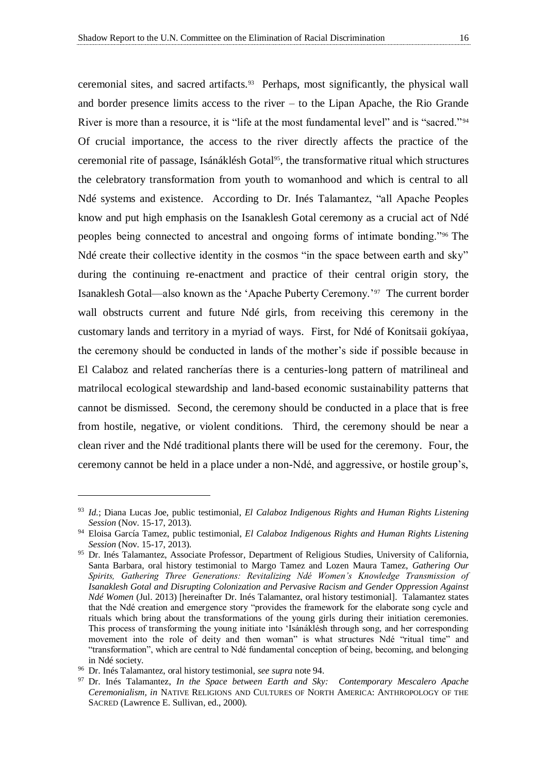ceremonial sites, and sacred artifacts.<sup>93</sup> Perhaps, most significantly, the physical wall and border presence limits access to the river – to the Lipan Apache, the Rio Grande River is more than a resource, it is "life at the most fundamental level" and is "sacred."<sup>94</sup> Of crucial importance, the access to the river directly affects the practice of the ceremonial rite of passage, Isánáklésh Gotal95, the transformative ritual which structures the celebratory transformation from youth to womanhood and which is central to all Ndé systems and existence. According to Dr. Inés Talamantez, "all Apache Peoples know and put high emphasis on the Isanaklesh Gotal ceremony as a crucial act of Ndé peoples being connected to ancestral and ongoing forms of intimate bonding."<sup>96</sup> The Ndé create their collective identity in the cosmos "in the space between earth and sky" during the continuing re-enactment and practice of their central origin story, the Isanaklesh Gotal—also known as the 'Apache Puberty Ceremony.'<sup>97</sup> The current border wall obstructs current and future Ndé girls, from receiving this ceremony in the customary lands and territory in a myriad of ways. First, for Ndé of Konitsaii gokíyaa, the ceremony should be conducted in lands of the mother's side if possible because in El Calaboz and related rancherías there is a centuries-long pattern of matrilineal and matrilocal ecological stewardship and land-based economic sustainability patterns that cannot be dismissed. Second, the ceremony should be conducted in a place that is free from hostile, negative, or violent conditions. Third, the ceremony should be near a clean river and the Ndé traditional plants there will be used for the ceremony. Four, the ceremony cannot be held in a place under a non-Ndé, and aggressive, or hostile group's,

<sup>93</sup> *Id.*; Diana Lucas Joe, public testimonial, *El Calaboz Indigenous Rights and Human Rights Listening Session* (Nov. 15-17, 2013).

<sup>94</sup> Eloisa García Tamez, public testimonial, *El Calaboz Indigenous Rights and Human Rights Listening Session* (Nov. 15-17, 2013).

<sup>95</sup> Dr. Inés Talamantez, Associate Professor, Department of Religious Studies, University of California, Santa Barbara, oral history testimonial to Margo Tamez and Lozen Maura Tamez, *Gathering Our Spirits, Gathering Three Generations: Revitalizing Ndé Women's Knowledge Transmission of Isanaklesh Gotal and Disrupting Colonization and Pervasive Racism and Gender Oppression Against Ndé Women* (Jul. 2013) [hereinafter Dr. Inés Talamantez, oral history testimonial]. Talamantez states that the Ndé creation and emergence story "provides the framework for the elaborate song cycle and rituals which bring about the transformations of the young girls during their initiation ceremonies. This process of transforming the young initiate into 'Isánáklésh through song, and her corresponding movement into the role of deity and then woman" is what structures Ndé "ritual time" and "transformation", which are central to Ndé fundamental conception of being, becoming, and belonging in Ndé society.

<sup>96</sup> Dr. Inés Talamantez, oral history testimonial, *see supra* note 94.

<sup>97</sup> Dr. Inés Talamantez, *In the Space between Earth and Sky: Contemporary Mescalero Apache Ceremonialism, in* NATIVE RELIGIONS AND CULTURES OF NORTH AMERICA: ANTHROPOLOGY OF THE SACRED (Lawrence E. Sullivan, ed., 2000).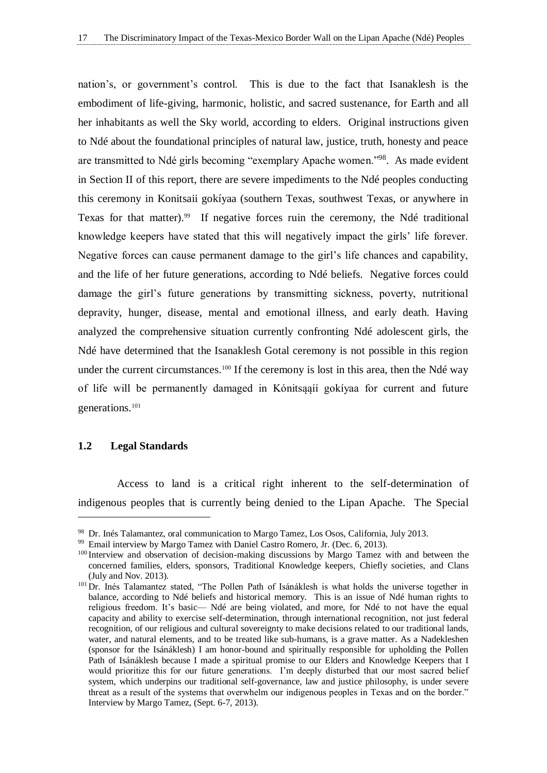nation's, or government's control. This is due to the fact that Isanaklesh is the embodiment of life-giving, harmonic, holistic, and sacred sustenance, for Earth and all her inhabitants as well the Sky world, according to elders. Original instructions given to Ndé about the foundational principles of natural law, justice, truth, honesty and peace are transmitted to Ndé girls becoming "exemplary Apache women."<sup>98</sup>. As made evident in Section II of this report, there are severe impediments to the Ndé peoples conducting this ceremony in Konitsaii gokíyaa (southern Texas, southwest Texas, or anywhere in Texas for that matter).<sup>99</sup> If negative forces ruin the ceremony, the Ndé traditional knowledge keepers have stated that this will negatively impact the girls' life forever. Negative forces can cause permanent damage to the girl's life chances and capability, and the life of her future generations, according to Ndé beliefs. Negative forces could damage the girl's future generations by transmitting sickness, poverty, nutritional depravity, hunger, disease, mental and emotional illness, and early death. Having analyzed the comprehensive situation currently confronting Ndé adolescent girls, the Ndé have determined that the Isanaklesh Gotal ceremony is not possible in this region under the current circumstances.<sup>100</sup> If the ceremony is lost in this area, then the Ndé way of life will be permanently damaged in Kónitsąąíí gokíyaa for current and future generations.<sup>101</sup>

#### <span id="page-22-0"></span>**1.2 Legal Standards**

 $\overline{a}$ 

Access to land is a critical right inherent to the self-determination of indigenous peoples that is currently being denied to the Lipan Apache. The Special

<sup>98</sup> Dr. Inés Talamantez, oral communication to Margo Tamez, Los Osos, California, July 2013.

<sup>&</sup>lt;sup>99</sup> Email interview by Margo Tamez with Daniel Castro Romero, Jr. (Dec. 6, 2013).

<sup>&</sup>lt;sup>100</sup> Interview and observation of decision-making discussions by Margo Tamez with and between the concerned families, elders, sponsors, Traditional Knowledge keepers, Chiefly societies, and Clans (July and Nov. 2013).

<sup>&</sup>lt;sup>101</sup> Dr. Inés Talamantez stated, "The Pollen Path of Isánáklesh is what holds the universe together in balance, according to Ndé beliefs and historical memory. This is an issue of Ndé human rights to religious freedom. It's basic— Ndé are being violated, and more, for Ndé to not have the equal capacity and ability to exercise self-determination, through international recognition, not just federal recognition, of our religious and cultural sovereignty to make decisions related to our traditional lands, water, and natural elements, and to be treated like sub-humans, is a grave matter. As a Nadekleshen (sponsor for the Isánáklesh) I am honor-bound and spiritually responsible for upholding the Pollen Path of Isánáklesh because I made a spiritual promise to our Elders and Knowledge Keepers that I would prioritize this for our future generations. I'm deeply disturbed that our most sacred belief system, which underpins our traditional self-governance, law and justice philosophy, is under severe threat as a result of the systems that overwhelm our indigenous peoples in Texas and on the border." Interview by Margo Tamez, (Sept. 6-7, 2013).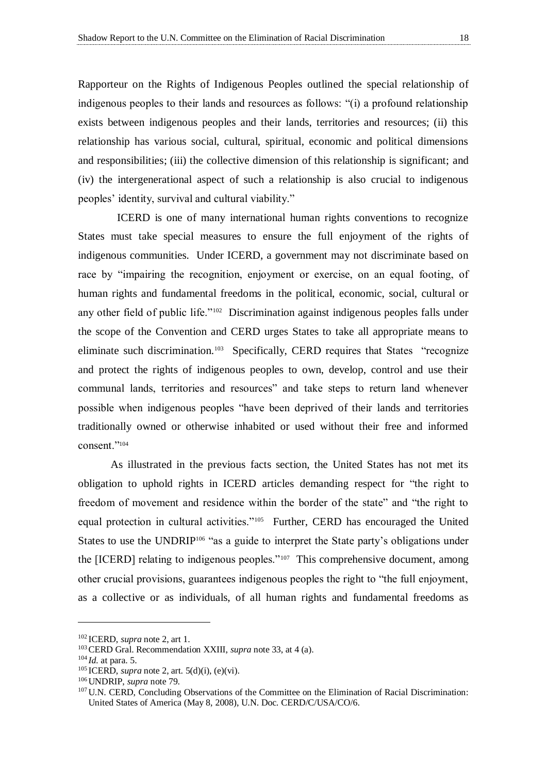Rapporteur on the Rights of Indigenous Peoples outlined the special relationship of indigenous peoples to their lands and resources as follows: "(i) a profound relationship exists between indigenous peoples and their lands, territories and resources; (ii) this relationship has various social, cultural, spiritual, economic and political dimensions and responsibilities; (iii) the collective dimension of this relationship is significant; and (iv) the intergenerational aspect of such a relationship is also crucial to indigenous peoples' identity, survival and cultural viability."

ICERD is one of many international human rights conventions to recognize States must take special measures to ensure the full enjoyment of the rights of indigenous communities. Under ICERD, a government may not discriminate based on race by "impairing the recognition, enjoyment or exercise, on an equal footing, of human rights and fundamental freedoms in the political, economic, social, cultural or any other field of public life."<sup>102</sup> Discrimination against indigenous peoples falls under the scope of the Convention and CERD urges States to take all appropriate means to eliminate such discrimination.<sup>103</sup> Specifically, CERD requires that States "recognize and protect the rights of indigenous peoples to own, develop, control and use their communal lands, territories and resources" and take steps to return land whenever possible when indigenous peoples "have been deprived of their lands and territories traditionally owned or otherwise inhabited or used without their free and informed consent."<sup>104</sup>

As illustrated in the previous facts section, the United States has not met its obligation to uphold rights in ICERD articles demanding respect for "the right to freedom of movement and residence within the border of the state" and "the right to equal protection in cultural activities."<sup>105</sup> Further, CERD has encouraged the United States to use the UNDRIP<sup>106</sup> "as a guide to interpret the State party's obligations under the [ICERD] relating to indigenous peoples."<sup>107</sup> This comprehensive document, among other crucial provisions, guarantees indigenous peoples the right to "the full enjoyment, as a collective or as individuals, of all human rights and fundamental freedoms as

<sup>102</sup> ICERD, *supra* note 2, art 1.

<sup>103</sup>CERD Gral. Recommendation XXIII, *supra* note 33, at 4 (a).

<sup>104</sup> *Id.* at para. 5.

<sup>105</sup> ICERD, *supra* note 2, art. 5(d)(i), (e)(vi).

<sup>106</sup>UNDRIP, *supra* note 79.

<sup>&</sup>lt;sup>107</sup> U.N. CERD, Concluding Observations of the Committee on the Elimination of Racial Discrimination: United States of America (May 8, 2008), U.N. Doc. CERD/C/USA/CO/6.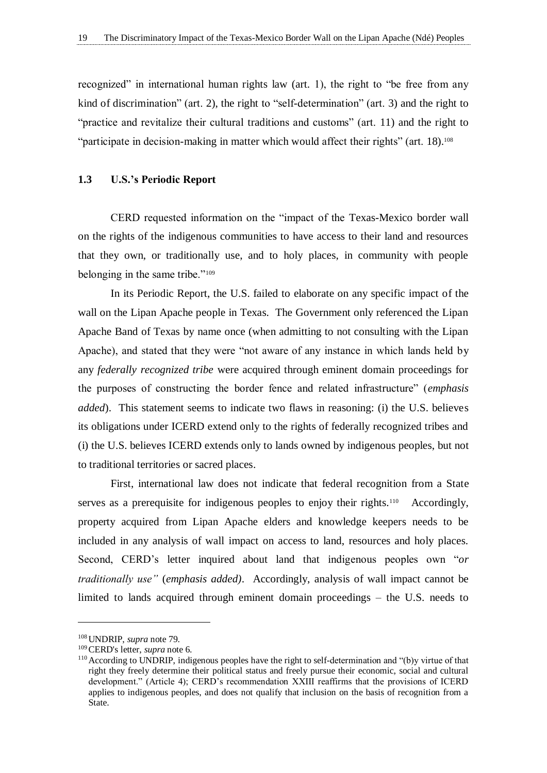recognized" in international human rights law (art. 1), the right to "be free from any kind of discrimination" (art. 2), the right to "self-determination" (art. 3) and the right to "practice and revitalize their cultural traditions and customs" (art. 11) and the right to "participate in decision-making in matter which would affect their rights" (art. 18).<sup>108</sup>

#### <span id="page-24-0"></span>**1.3 U.S.'s Periodic Report**

CERD requested information on the "impact of the Texas-Mexico border wall on the rights of the indigenous communities to have access to their land and resources that they own, or traditionally use, and to holy places, in community with people belonging in the same tribe."<sup>109</sup>

In its Periodic Report, the U.S. failed to elaborate on any specific impact of the wall on the Lipan Apache people in Texas. The Government only referenced the Lipan Apache Band of Texas by name once (when admitting to not consulting with the Lipan Apache), and stated that they were "not aware of any instance in which lands held by any *federally recognized tribe* were acquired through eminent domain proceedings for the purposes of constructing the border fence and related infrastructure" (*emphasis added*). This statement seems to indicate two flaws in reasoning: (i) the U.S. believes its obligations under ICERD extend only to the rights of federally recognized tribes and (i) the U.S. believes ICERD extends only to lands owned by indigenous peoples, but not to traditional territories or sacred places.

First, international law does not indicate that federal recognition from a State serves as a prerequisite for indigenous peoples to enjoy their rights.<sup>110</sup> Accordingly, property acquired from Lipan Apache elders and knowledge keepers needs to be included in any analysis of wall impact on access to land, resources and holy places. Second, CERD's letter inquired about land that indigenous peoples own "*or traditionally use"* (*emphasis added)*. Accordingly, analysis of wall impact cannot be limited to lands acquired through eminent domain proceedings – the U.S. needs to

<sup>108</sup>UNDRIP, *supra* note 79.

<sup>109</sup>CERD's letter, *supra* note 6.

<sup>110</sup>According to UNDRIP, indigenous peoples have the right to self-determination and "(b)y virtue of that right they freely determine their political status and freely pursue their economic, social and cultural development." (Article 4); CERD's recommendation XXIII reaffirms that the provisions of ICERD applies to indigenous peoples, and does not qualify that inclusion on the basis of recognition from a State.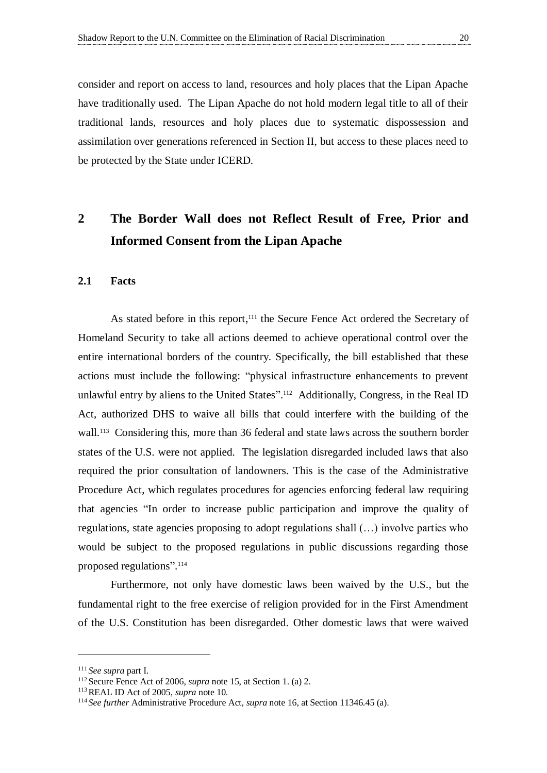consider and report on access to land, resources and holy places that the Lipan Apache have traditionally used. The Lipan Apache do not hold modern legal title to all of their traditional lands, resources and holy places due to systematic dispossession and assimilation over generations referenced in Section II, but access to these places need to be protected by the State under ICERD.

## <span id="page-25-1"></span>**2 The Border Wall does not Reflect Result of Free, Prior and Informed Consent from the Lipan Apache**

#### <span id="page-25-0"></span>**2.1 Facts**

As stated before in this report,<sup>111</sup> the Secure Fence Act ordered the Secretary of Homeland Security to take all actions deemed to achieve operational control over the entire international borders of the country. Specifically, the bill established that these actions must include the following: "physical infrastructure enhancements to prevent unlawful entry by aliens to the United States".<sup>112</sup> Additionally, Congress, in the Real ID Act, authorized DHS to waive all bills that could interfere with the building of the wall.<sup>113</sup> Considering this, more than 36 federal and state laws across the southern border states of the U.S. were not applied. The legislation disregarded included laws that also required the prior consultation of landowners. This is the case of the Administrative Procedure Act, which regulates procedures for agencies enforcing federal law requiring that agencies "In order to increase public participation and improve the quality of regulations, state agencies proposing to adopt regulations shall (…) involve parties who would be subject to the proposed regulations in public discussions regarding those proposed regulations". 114

Furthermore, not only have domestic laws been waived by the U.S., but the fundamental right to the free exercise of religion provided for in the First Amendment of the U.S. Constitution has been disregarded. Other domestic laws that were waived

<sup>111</sup> *See supra* part I.

<sup>112</sup>Secure Fence Act of 2006, *supra* note 15, at Section 1. (a) 2.

<sup>113</sup>REAL ID Act of 2005, *supra* note 10.

<sup>114</sup> *See further* Administrative Procedure Act, *supra* note 16, at Section 11346.45 (a).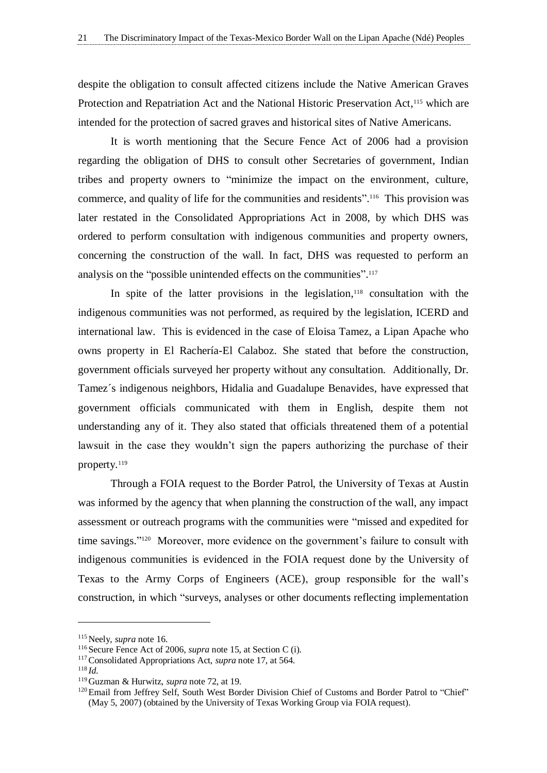despite the obligation to consult affected citizens include the Native American Graves Protection and Repatriation Act and the National Historic Preservation Act,<sup>115</sup> which are intended for the protection of sacred graves and historical sites of Native Americans.

It is worth mentioning that the Secure Fence Act of 2006 had a provision regarding the obligation of DHS to consult other Secretaries of government, Indian tribes and property owners to "minimize the impact on the environment, culture, commerce, and quality of life for the communities and residents".<sup>116</sup> This provision was later restated in the Consolidated Appropriations Act in 2008, by which DHS was ordered to perform consultation with indigenous communities and property owners, concerning the construction of the wall. In fact, DHS was requested to perform an analysis on the "possible unintended effects on the communities".<sup>117</sup>

In spite of the latter provisions in the legislation, <sup>118</sup> consultation with the indigenous communities was not performed, as required by the legislation, ICERD and international law. This is evidenced in the case of Eloisa Tamez, a Lipan Apache who owns property in El Rachería-El Calaboz. She stated that before the construction, government officials surveyed her property without any consultation. Additionally, Dr. Tamez´s indigenous neighbors, Hidalia and Guadalupe Benavides, have expressed that government officials communicated with them in English, despite them not understanding any of it. They also stated that officials threatened them of a potential lawsuit in the case they wouldn't sign the papers authorizing the purchase of their property.<sup>119</sup>

Through a FOIA request to the Border Patrol, the University of Texas at Austin was informed by the agency that when planning the construction of the wall, any impact assessment or outreach programs with the communities were "missed and expedited for time savings." <sup>120</sup> Moreover, more evidence on the government's failure to consult with indigenous communities is evidenced in the FOIA request done by the University of Texas to the Army Corps of Engineers (ACE), group responsible for the wall's construction, in which "surveys, analyses or other documents reflecting implementation

<sup>115</sup>Neely, *supra* note 16.

<sup>&</sup>lt;sup>116</sup> Secure Fence Act of 2006, *supra* note 15, at Section C (i).

<sup>117</sup>Consolidated Appropriations Act, *supra* note 17, at 564.

<sup>118</sup> *Id.*

<sup>119</sup>Guzman & Hurwitz, *supra* note 72, at 19.

<sup>&</sup>lt;sup>120</sup> Email from Jeffrey Self, South West Border Division Chief of Customs and Border Patrol to "Chief" (May 5, 2007) (obtained by the University of Texas Working Group via FOIA request).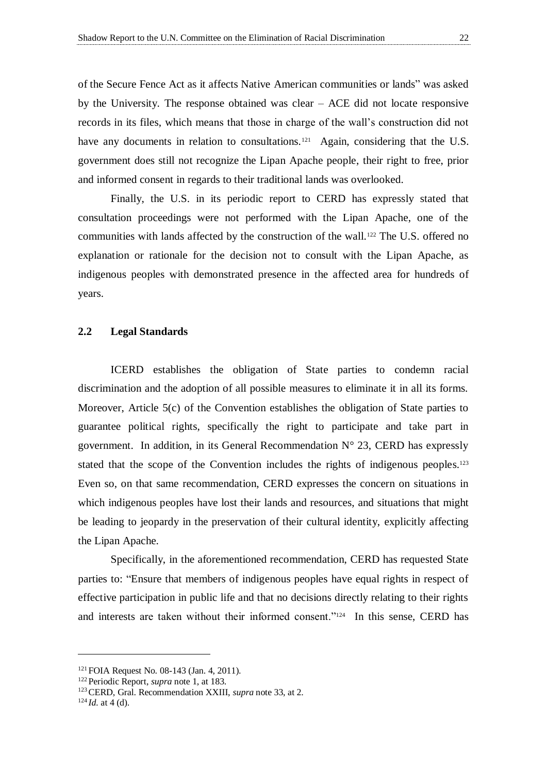of the Secure Fence Act as it affects Native American communities or lands" was asked by the University. The response obtained was clear – ACE did not locate responsive records in its files, which means that those in charge of the wall's construction did not have any documents in relation to consultations.<sup>121</sup> Again, considering that the U.S. government does still not recognize the Lipan Apache people, their right to free, prior and informed consent in regards to their traditional lands was overlooked.

Finally, the U.S. in its periodic report to CERD has expressly stated that consultation proceedings were not performed with the Lipan Apache, one of the communities with lands affected by the construction of the wall.<sup>122</sup> The U.S. offered no explanation or rationale for the decision not to consult with the Lipan Apache, as indigenous peoples with demonstrated presence in the affected area for hundreds of years.

#### <span id="page-27-0"></span>**2.2 Legal Standards**

ICERD establishes the obligation of State parties to condemn racial discrimination and the adoption of all possible measures to eliminate it in all its forms. Moreover, Article 5(c) of the Convention establishes the obligation of State parties to guarantee political rights, specifically the right to participate and take part in government. In addition, in its General Recommendation  $N^{\circ}$  23, CERD has expressly stated that the scope of the Convention includes the rights of indigenous peoples.<sup>123</sup> Even so, on that same recommendation, CERD expresses the concern on situations in which indigenous peoples have lost their lands and resources, and situations that might be leading to jeopardy in the preservation of their cultural identity, explicitly affecting the Lipan Apache.

Specifically, in the aforementioned recommendation, CERD has requested State parties to: "Ensure that members of indigenous peoples have equal rights in respect of effective participation in public life and that no decisions directly relating to their rights and interests are taken without their informed consent."<sup>124</sup> In this sense, CERD has

<sup>121</sup>FOIA Request No. 08-143 (Jan. 4, 2011).

<sup>122</sup>Periodic Report, *supra* note 1, at 183.

<sup>123</sup>CERD, Gral. Recommendation XXIII, *supra* note 33, at 2.

 $124$  *Id.* at 4 (d).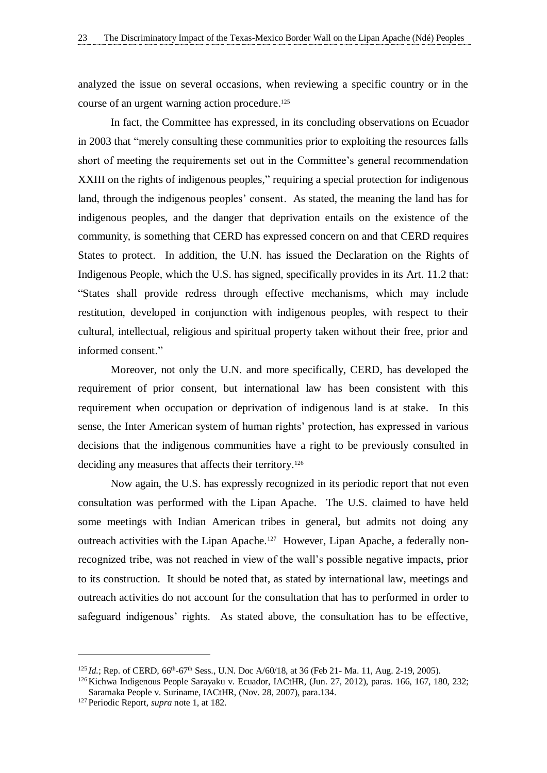analyzed the issue on several occasions, when reviewing a specific country or in the course of an urgent warning action procedure. 125

In fact, the Committee has expressed, in its concluding observations on Ecuador in 2003 that "merely consulting these communities prior to exploiting the resources falls short of meeting the requirements set out in the Committee's general recommendation XXIII on the rights of indigenous peoples," requiring a special protection for indigenous land, through the indigenous peoples' consent. As stated, the meaning the land has for indigenous peoples, and the danger that deprivation entails on the existence of the community, is something that CERD has expressed concern on and that CERD requires States to protect. In addition, the U.N. has issued the Declaration on the Rights of Indigenous People, which the U.S. has signed, specifically provides in its Art. 11.2 that: "States shall provide redress through effective mechanisms, which may include restitution, developed in conjunction with indigenous peoples, with respect to their cultural, intellectual, religious and spiritual property taken without their free, prior and informed consent."

Moreover, not only the U.N. and more specifically, CERD, has developed the requirement of prior consent, but international law has been consistent with this requirement when occupation or deprivation of indigenous land is at stake. In this sense, the Inter American system of human rights' protection, has expressed in various decisions that the indigenous communities have a right to be previously consulted in deciding any measures that affects their territory.<sup>126</sup>

Now again, the U.S. has expressly recognized in its periodic report that not even consultation was performed with the Lipan Apache. The U.S. claimed to have held some meetings with Indian American tribes in general, but admits not doing any outreach activities with the Lipan Apache.<sup>127</sup> However, Lipan Apache, a federally nonrecognized tribe, was not reached in view of the wall's possible negative impacts, prior to its construction. It should be noted that, as stated by international law, meetings and outreach activities do not account for the consultation that has to performed in order to safeguard indigenous' rights. As stated above, the consultation has to be effective,

<sup>&</sup>lt;sup>125</sup> *Id.*; Rep. of CERD, 66<sup>th</sup>-67<sup>th</sup> Sess., U.N. Doc A/60/18, at 36 (Feb 21- Ma. 11, Aug. 2-19, 2005).

<sup>126</sup>Kichwa Indigenous People Sarayaku v. Ecuador, IACtHR, (Jun. 27, 2012), paras. 166, 167, 180, 232; Saramaka People v. Suriname, IACtHR, (Nov. 28, 2007), para.134.

<sup>127</sup>Periodic Report, *supra* note 1, at 182.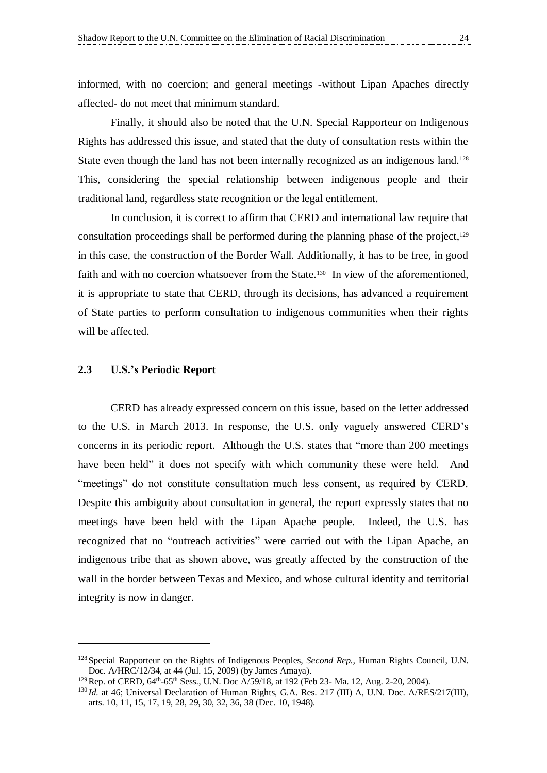informed, with no coercion; and general meetings -without Lipan Apaches directly affected- do not meet that minimum standard.

Finally, it should also be noted that the U.N. Special Rapporteur on Indigenous Rights has addressed this issue, and stated that the duty of consultation rests within the State even though the land has not been internally recognized as an indigenous land.<sup>128</sup> This, considering the special relationship between indigenous people and their traditional land, regardless state recognition or the legal entitlement.

In conclusion, it is correct to affirm that CERD and international law require that consultation proceedings shall be performed during the planning phase of the project,<sup>129</sup> in this case, the construction of the Border Wall. Additionally, it has to be free, in good faith and with no coercion whatsoever from the State.<sup>130</sup> In view of the aforementioned, it is appropriate to state that CERD, through its decisions, has advanced a requirement of State parties to perform consultation to indigenous communities when their rights will be affected.

#### <span id="page-29-0"></span>**2.3 U.S.'s Periodic Report**

CERD has already expressed concern on this issue, based on the letter addressed to the U.S. in March 2013. In response, the U.S. only vaguely answered CERD's concerns in its periodic report. Although the U.S. states that "more than 200 meetings have been held" it does not specify with which community these were held. And "meetings" do not constitute consultation much less consent, as required by CERD. Despite this ambiguity about consultation in general, the report expressly states that no meetings have been held with the Lipan Apache people. Indeed, the U.S. has recognized that no "outreach activities" were carried out with the Lipan Apache, an indigenous tribe that as shown above, was greatly affected by the construction of the wall in the border between Texas and Mexico, and whose cultural identity and territorial integrity is now in danger.

<sup>128</sup>Special Rapporteur on the Rights of Indigenous Peoples, *Second Rep.,* Human Rights Council, U.N. Doc. A/HRC/12/34, at 44 (Jul. 15, 2009) (by James Amaya).

<sup>&</sup>lt;sup>129</sup> Rep. of CERD, 64<sup>th</sup>-65<sup>th</sup> Sess., U.N. Doc A/59/18, at 192 (Feb 23- Ma. 12, Aug. 2-20, 2004).

<sup>&</sup>lt;sup>130</sup> *Id.* at 46; Universal Declaration of Human Rights, G.A. Res. 217 (III) A, U.N. Doc. A/RES/217(III), arts. 10, 11, 15, 17, 19, 28, 29, 30, 32, 36, 38 (Dec. 10, 1948).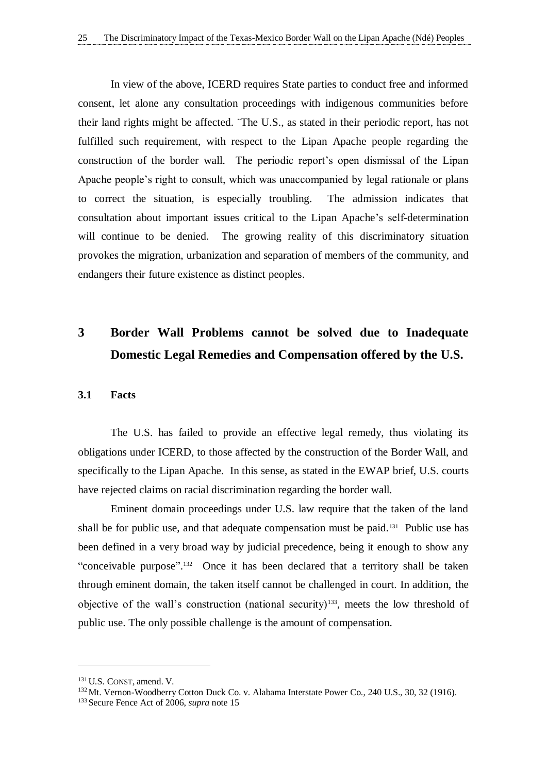In view of the above, ICERD requires State parties to conduct free and informed consent, let alone any consultation proceedings with indigenous communities before their land rights might be affected. ¨The U.S., as stated in their periodic report, has not fulfilled such requirement, with respect to the Lipan Apache people regarding the construction of the border wall. The periodic report's open dismissal of the Lipan Apache people's right to consult, which was unaccompanied by legal rationale or plans to correct the situation, is especially troubling. The admission indicates that consultation about important issues critical to the Lipan Apache's self-determination will continue to be denied. The growing reality of this discriminatory situation provokes the migration, urbanization and separation of members of the community, and endangers their future existence as distinct peoples.

### <span id="page-30-1"></span>**3 Border Wall Problems cannot be solved due to Inadequate Domestic Legal Remedies and Compensation offered by the U.S.**

#### <span id="page-30-0"></span>**3.1 Facts**

The U.S. has failed to provide an effective legal remedy, thus violating its obligations under ICERD, to those affected by the construction of the Border Wall, and specifically to the Lipan Apache. In this sense, as stated in the EWAP brief, U.S. courts have rejected claims on racial discrimination regarding the border wall.

Eminent domain proceedings under U.S. law require that the taken of the land shall be for public use, and that adequate compensation must be paid.<sup>131</sup> Public use has been defined in a very broad way by judicial precedence, being it enough to show any "conceivable purpose".<sup>132</sup> Once it has been declared that a territory shall be taken through eminent domain, the taken itself cannot be challenged in court. In addition, the objective of the wall's construction (national security)<sup>133</sup>, meets the low threshold of public use. The only possible challenge is the amount of compensation.

<sup>131</sup>U.S. CONST, amend. V.

<sup>&</sup>lt;sup>132</sup>Mt. Vernon-Woodberry Cotton Duck Co. v. Alabama Interstate Power Co., 240 U.S., 30, 32 (1916).

<sup>&</sup>lt;sup>133</sup> Secure Fence Act of 2006, *supra* note 15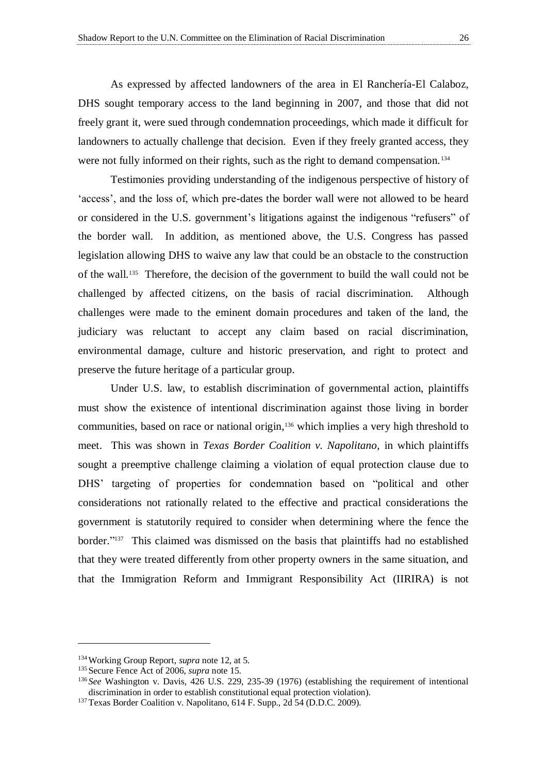As expressed by affected landowners of the area in El Ranchería-El Calaboz, DHS sought temporary access to the land beginning in 2007, and those that did not freely grant it, were sued through condemnation proceedings, which made it difficult for landowners to actually challenge that decision. Even if they freely granted access, they were not fully informed on their rights, such as the right to demand compensation.<sup>134</sup>

Testimonies providing understanding of the indigenous perspective of history of 'access', and the loss of, which pre-dates the border wall were not allowed to be heard or considered in the U.S. government's litigations against the indigenous "refusers" of the border wall. In addition, as mentioned above, the U.S. Congress has passed legislation allowing DHS to waive any law that could be an obstacle to the construction of the wall.<sup>135</sup> Therefore, the decision of the government to build the wall could not be challenged by affected citizens, on the basis of racial discrimination. Although challenges were made to the eminent domain procedures and taken of the land, the judiciary was reluctant to accept any claim based on racial discrimination, environmental damage, culture and historic preservation, and right to protect and preserve the future heritage of a particular group.

Under U.S. law, to establish discrimination of governmental action, plaintiffs must show the existence of intentional discrimination against those living in border communities, based on race or national origin, <sup>136</sup> which implies a very high threshold to meet. This was shown in *Texas Border Coalition v. Napolitano*, in which plaintiffs sought a preemptive challenge claiming a violation of equal protection clause due to DHS' targeting of properties for condemnation based on "political and other considerations not rationally related to the effective and practical considerations the government is statutorily required to consider when determining where the fence the border." 137 This claimed was dismissed on the basis that plaintiffs had no established that they were treated differently from other property owners in the same situation, and that the Immigration Reform and Immigrant Responsibility Act (IIRIRA) is not

<sup>134</sup>Working Group Report, *supra* note 12, at 5.

<sup>&</sup>lt;sup>135</sup> Secure Fence Act of 2006, *supra* note 15.

<sup>136</sup> *See* Washington v. Davis, 426 U.S. 229, 235-39 (1976) (establishing the requirement of intentional discrimination in order to establish constitutional equal protection violation).

<sup>&</sup>lt;sup>137</sup>Texas Border Coalition v. Napolitano, 614 F. Supp., 2d 54 (D.D.C. 2009).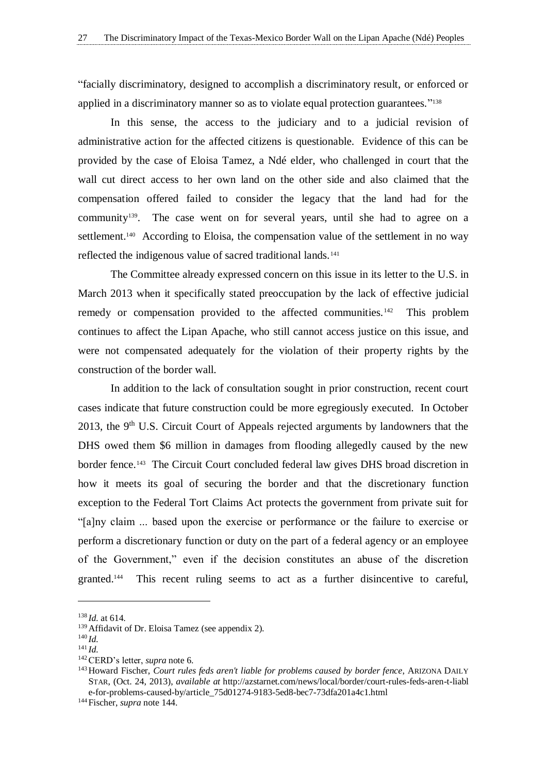"facially discriminatory, designed to accomplish a discriminatory result, or enforced or applied in a discriminatory manner so as to violate equal protection guarantees."<sup>138</sup>

In this sense, the access to the judiciary and to a judicial revision of administrative action for the affected citizens is questionable. Evidence of this can be provided by the case of Eloisa Tamez, a Ndé elder, who challenged in court that the wall cut direct access to her own land on the other side and also claimed that the compensation offered failed to consider the legacy that the land had for the community139. The case went on for several years, until she had to agree on a settlement.<sup>140</sup> According to Eloisa, the compensation value of the settlement in no way reflected the indigenous value of sacred traditional lands.<sup>141</sup>

The Committee already expressed concern on this issue in its letter to the U.S. in March 2013 when it specifically stated preoccupation by the lack of effective judicial remedy or compensation provided to the affected communities.<sup>142</sup> This problem continues to affect the Lipan Apache, who still cannot access justice on this issue, and were not compensated adequately for the violation of their property rights by the construction of the border wall.

In addition to the lack of consultation sought in prior construction, recent court cases indicate that future construction could be more egregiously executed. In October 2013, the 9<sup>th</sup> U.S. Circuit Court of Appeals rejected arguments by landowners that the DHS owed them \$6 million in damages from flooding allegedly caused by the new border fence.<sup>143</sup> The Circuit Court concluded federal law gives DHS broad discretion in how it meets its goal of securing the border and that the discretionary function exception to the Federal Tort Claims Act protects the government from private suit for "[a]ny claim ... based upon the exercise or performance or the failure to exercise or perform a discretionary function or duty on the part of a federal agency or an employee of the Government," even if the decision constitutes an abuse of the discretion granted.<sup>144</sup> This recent ruling seems to act as a further disincentive to careful,

<sup>138</sup> *Id.* at 614.

<sup>139</sup>Affidavit of Dr. Eloisa Tamez (see appendix 2).

<sup>140</sup> *Id.*

<sup>141</sup> *Id.*

<sup>142</sup>CERD's letter, *supra* note 6.

<sup>143</sup>Howard Fischer, *Court rules feds aren't liable for problems caused by border fence*, ARIZONA DAILY STAR, (Oct. 24, 2013), *available at* [http://azstarnet.com/news/local/border/court-rules-feds-aren-t-liabl](http://azstarnet.com/news/local/border/court-rules-feds-aren-t-liable-for-problems-caused-by/article_75d01274-9183-5ed8-bec7-73dfa201a4c1.html) [e-for-problems-caused-by/article\\_75d01274-9183-5ed8-bec7-73dfa201a4c1.html](http://azstarnet.com/news/local/border/court-rules-feds-aren-t-liable-for-problems-caused-by/article_75d01274-9183-5ed8-bec7-73dfa201a4c1.html)

<sup>144</sup>Fischer, *supra* note 144.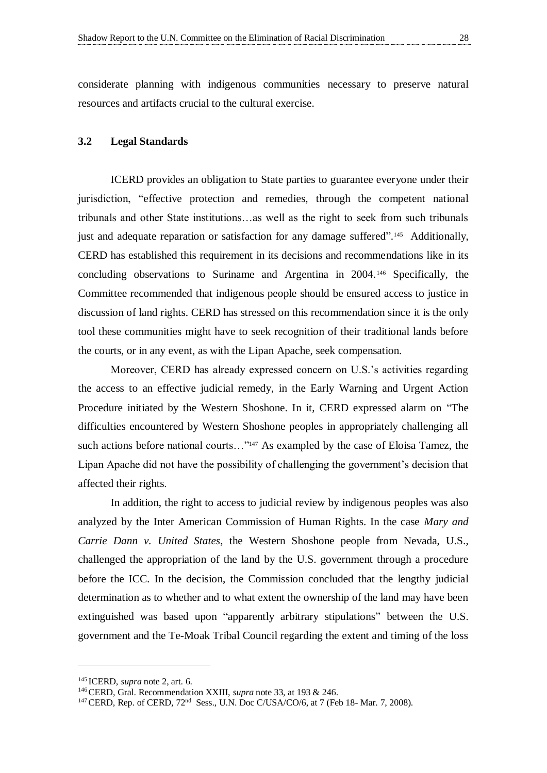considerate planning with indigenous communities necessary to preserve natural resources and artifacts crucial to the cultural exercise.

#### <span id="page-33-0"></span>**3.2 Legal Standards**

ICERD provides an obligation to State parties to guarantee everyone under their jurisdiction, "effective protection and remedies, through the competent national tribunals and other State institutions…as well as the right to seek from such tribunals just and adequate reparation or satisfaction for any damage suffered".<sup>145</sup> Additionally, CERD has established this requirement in its decisions and recommendations like in its concluding observations to Suriname and Argentina in 2004.<sup>146</sup> Specifically, the Committee recommended that indigenous people should be ensured access to justice in discussion of land rights. CERD has stressed on this recommendation since it is the only tool these communities might have to seek recognition of their traditional lands before the courts, or in any event, as with the Lipan Apache, seek compensation.

Moreover, CERD has already expressed concern on U.S.'s activities regarding the access to an effective judicial remedy, in the Early Warning and Urgent Action Procedure initiated by the Western Shoshone. In it, CERD expressed alarm on "The difficulties encountered by Western Shoshone peoples in appropriately challenging all such actions before national courts..."<sup>147</sup> As exampled by the case of Eloisa Tamez, the Lipan Apache did not have the possibility of challenging the government's decision that affected their rights.

In addition, the right to access to judicial review by indigenous peoples was also analyzed by the Inter American Commission of Human Rights. In the case *Mary and Carrie Dann v. United States*, the Western Shoshone people from Nevada, U.S., challenged the appropriation of the land by the U.S. government through a procedure before the ICC. In the decision, the Commission concluded that the lengthy judicial determination as to whether and to what extent the ownership of the land may have been extinguished was based upon "apparently arbitrary stipulations" between the U.S. government and the Te-Moak Tribal Council regarding the extent and timing of the loss

<sup>145</sup> ICERD, *supra* note 2, art. 6.

<sup>146</sup>CERD, Gral. Recommendation XXIII, *supra* note 33, at 193 & 246.

 $147$  CERD, Rep. of CERD,  $72<sup>nd</sup>$  Sess., U.N. Doc C/USA/CO/6, at 7 (Feb 18- Mar. 7, 2008).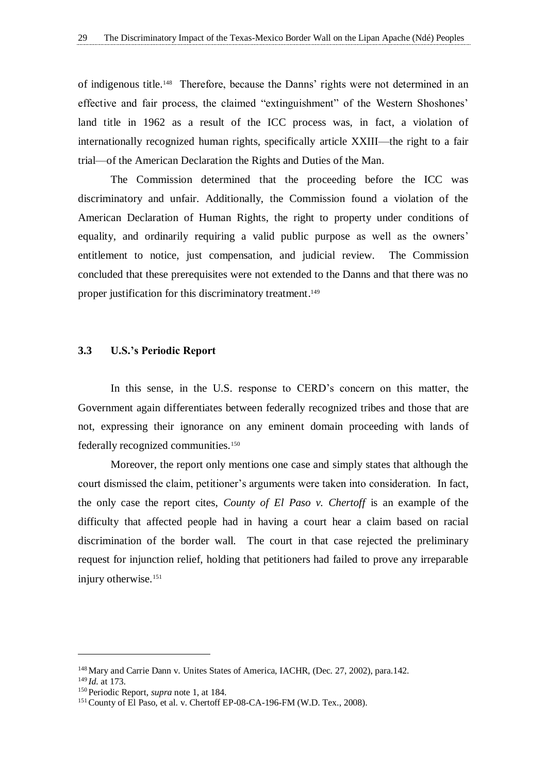of indigenous title.<sup>148</sup> Therefore, because the Danns' rights were not determined in an effective and fair process, the claimed "extinguishment" of the Western Shoshones' land title in 1962 as a result of the ICC process was, in fact, a violation of internationally recognized human rights, specifically article XXIII—the right to a fair trial—of the American Declaration the Rights and Duties of the Man.

The Commission determined that the proceeding before the ICC was discriminatory and unfair. Additionally, the Commission found a violation of the American Declaration of Human Rights, the right to property under conditions of equality, and ordinarily requiring a valid public purpose as well as the owners' entitlement to notice, just compensation, and judicial review. The Commission concluded that these prerequisites were not extended to the Danns and that there was no proper justification for this discriminatory treatment.<sup>149</sup>

#### <span id="page-34-0"></span>**3.3 U.S.'s Periodic Report**

In this sense, in the U.S. response to CERD's concern on this matter, the Government again differentiates between federally recognized tribes and those that are not, expressing their ignorance on any eminent domain proceeding with lands of federally recognized communities.<sup>150</sup>

Moreover, the report only mentions one case and simply states that although the court dismissed the claim, petitioner's arguments were taken into consideration. In fact, the only case the report cites, *County of El Paso v. Chertoff* is an example of the difficulty that affected people had in having a court hear a claim based on racial discrimination of the border wall. The court in that case rejected the preliminary request for injunction relief, holding that petitioners had failed to prove any irreparable injury otherwise.<sup>151</sup>

<sup>&</sup>lt;sup>148</sup> Mary and Carrie Dann v. Unites States of America, IACHR, (Dec. 27, 2002), para.142.

<sup>149</sup> *Id.* at 173.

<sup>&</sup>lt;sup>150</sup> Periodic Report, *supra* note 1, at 184.

<sup>&</sup>lt;sup>151</sup> County of El Paso, et al. v. Chertoff EP-08-CA-196-FM (W.D. Tex., 2008).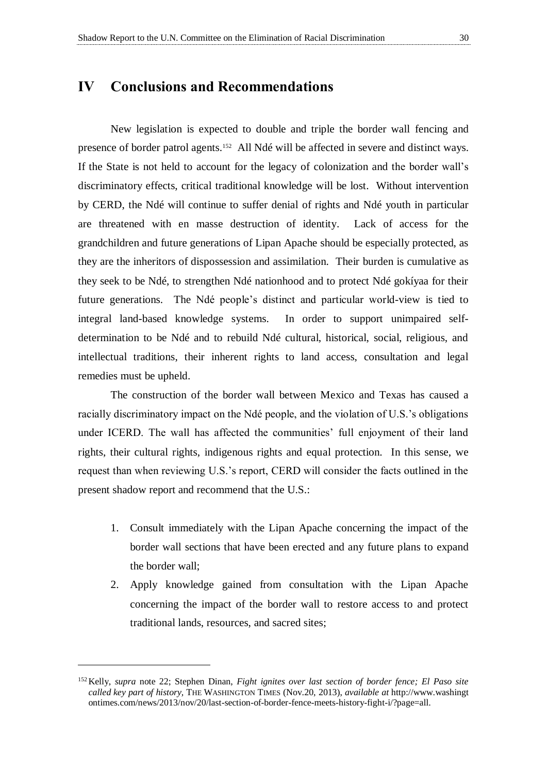<span id="page-35-0"></span>New legislation is expected to double and triple the border wall fencing and presence of border patrol agents.<sup>152</sup> All Ndé will be affected in severe and distinct ways. If the State is not held to account for the legacy of colonization and the border wall's discriminatory effects, critical traditional knowledge will be lost. Without intervention by CERD, the Ndé will continue to suffer denial of rights and Ndé youth in particular are threatened with en masse destruction of identity. Lack of access for the grandchildren and future generations of Lipan Apache should be especially protected, as they are the inheritors of dispossession and assimilation. Their burden is cumulative as they seek to be Ndé, to strengthen Ndé nationhood and to protect Ndé gokíyaa for their future generations. The Ndé people's distinct and particular world-view is tied to integral land-based knowledge systems. In order to support unimpaired selfdetermination to be Ndé and to rebuild Ndé cultural, historical, social, religious, and intellectual traditions, their inherent rights to land access, consultation and legal remedies must be upheld.

The construction of the border wall between Mexico and Texas has caused a racially discriminatory impact on the Ndé people, and the violation of U.S.'s obligations under ICERD. The wall has affected the communities' full enjoyment of their land rights, their cultural rights, indigenous rights and equal protection. In this sense, we request than when reviewing U.S.'s report, CERD will consider the facts outlined in the present shadow report and recommend that the U.S.:

- 1. Consult immediately with the Lipan Apache concerning the impact of the border wall sections that have been erected and any future plans to expand the border wall;
- 2. Apply knowledge gained from consultation with the Lipan Apache concerning the impact of the border wall to restore access to and protect traditional lands, resources, and sacred sites;

<sup>152</sup>Kelly, *supra* note 22; Stephen Dinan, *Fight ignites over last section of border fence; El Paso site called key part of history,* THE WASHINGTON TIMES (Nov.20, 2013), *available at* http://www.washingt ontimes.com/news/2013/nov/20/last-section-of-border-fence-meets-history-fight-i/?page=all.